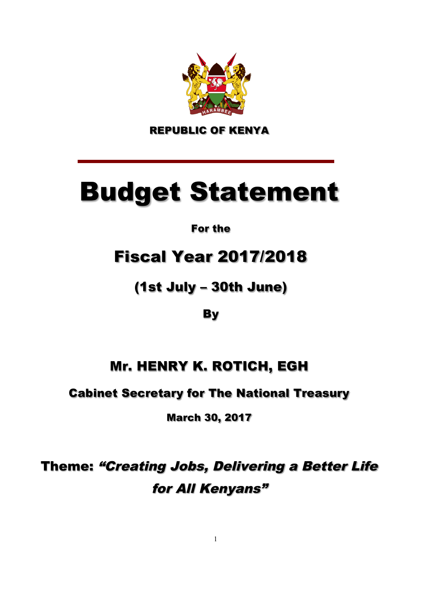

REPUBLIC OF KENYA

# Budget Statement

## For the

## Fiscal Year 2017/2018

## (1st July – 30th June)

## By

## Mr. HENRY K. ROTICH, EGH

## Cabinet Secretary for The National Treasury

March 30, 2017

Theme: "Creating Jobs, Delivering a Better Life for All Kenyans"

1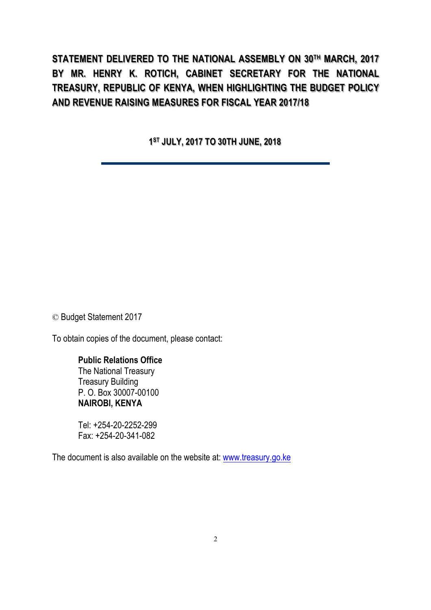**STATEMENT DELIVERED TO THE NATIONAL ASSEMBLY ON 30TH MARCH, 2017 BY MR. HENRY K. ROTICH, CABINET SECRETARY FOR THE NATIONAL TREASURY, REPUBLIC OF KENYA, WHEN HIGHLIGHTING THE BUDGET POLICY AND REVENUE RAISING MEASURES FOR FISCAL YEAR 2017/18**

**1ST JULY, 2017 TO 30TH JUNE, 2018**

© Budget Statement 2017

To obtain copies of the document, please contact:

#### **Public Relations Office**

The National Treasury Treasury Building P. O. Box 30007-00100 **NAIROBI, KENYA**

Tel: +254-20-2252-299 Fax: +254-20-341-082

The document is also available on the website at: www.treasury.go.ke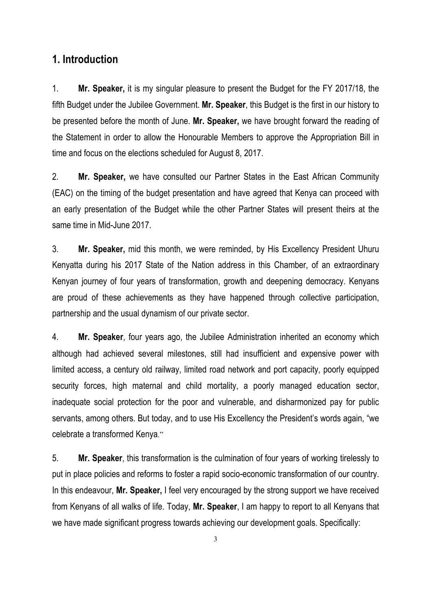### **1. Introduction**

1. **Mr. Speaker,** it is my singular pleasure to present the Budget for the FY 2017/18, the fifth Budget under the Jubilee Government. **Mr. Speaker**, this Budget is the first in our history to be presented before the month of June. **Mr. Speaker,** we have brought forward the reading of the Statement in order to allow the Honourable Members to approve the Appropriation Bill in time and focus on the elections scheduled for August 8, 2017.

2. **Mr. Speaker,** we have consulted our Partner States in the East African Community (EAC) on the timing of the budget presentation and have agreed that Kenya can proceed with an early presentation of the Budget while the other Partner States will present theirs at the same time in Mid-June 2017.

3. **Mr. Speaker,** mid this month, we were reminded, by His Excellency President Uhuru Kenyatta during his 2017 State of the Nation address in this Chamber, of an extraordinary Kenyan journey of four years of transformation, growth and deepening democracy. Kenyans are proud of these achievements as they have happened through collective participation, partnership and the usual dynamism of our private sector.

4. **Mr. Speaker**, four years ago, the Jubilee Administration inherited an economy which although had achieved several milestones, still had insufficient and expensive power with limited access, a century old railway, limited road network and port capacity, poorly equipped security forces, high maternal and child mortality, a poorly managed education sector, inadequate social protection for the poor and vulnerable, and disharmonized pay for public servants, among others. But today, and to use His Excellency the President's words again, "we celebrate a transformed Kenya."

5. **Mr. Speaker**, this transformation is the culmination of four years of working tirelessly to put in place policies and reforms to foster a rapid socio-economic transformation of our country. In this endeavour, **Mr. Speaker,** I feel very encouraged by the strong support we have received from Kenyans of all walks of life. Today, **Mr. Speaker**, I am happy to report to all Kenyans that we have made significant progress towards achieving our development goals. Specifically:

3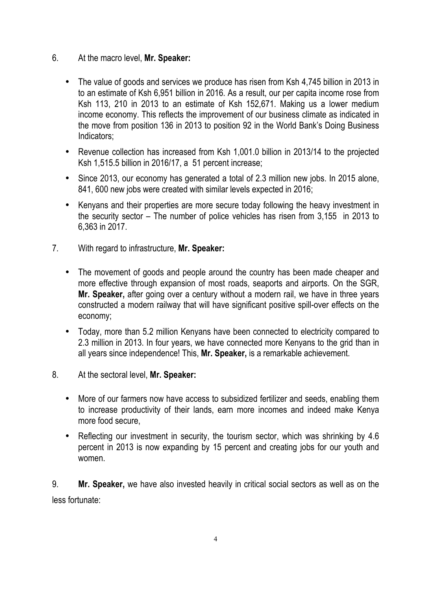#### 6. At the macro level, **Mr. Speaker:**

- The value of goods and services we produce has risen from Ksh 4,745 billion in 2013 in to an estimate of Ksh 6,951 billion in 2016. As a result, our per capita income rose from Ksh 113, 210 in 2013 to an estimate of Ksh 152,671. Making us a lower medium income economy. This reflects the improvement of our business climate as indicated in the move from position 136 in 2013 to position 92 in the World Bank's Doing Business Indicators;
- Revenue collection has increased from Ksh 1,001.0 billion in 2013/14 to the projected Ksh 1,515.5 billion in 2016/17, a 51 percent increase;
- Since 2013, our economy has generated a total of 2.3 million new jobs. In 2015 alone, 841, 600 new jobs were created with similar levels expected in 2016;
- Kenyans and their properties are more secure today following the heavy investment in the security sector – The number of police vehicles has risen from 3,155 in 2013 to 6,363 in 2017.
- 7. With regard to infrastructure, **Mr. Speaker:**
	- The movement of goods and people around the country has been made cheaper and more effective through expansion of most roads, seaports and airports. On the SGR, **Mr. Speaker,** after going over a century without a modern rail, we have in three years constructed a modern railway that will have significant positive spill-over effects on the economy;
	- Today, more than 5.2 million Kenyans have been connected to electricity compared to 2.3 million in 2013. In four years, we have connected more Kenyans to the grid than in all years since independence! This, **Mr. Speaker,** is a remarkable achievement.
- 8. At the sectoral level, **Mr. Speaker:**
	- More of our farmers now have access to subsidized fertilizer and seeds, enabling them to increase productivity of their lands, earn more incomes and indeed make Kenya more food secure,
	- Reflecting our investment in security, the tourism sector, which was shrinking by 4.6 percent in 2013 is now expanding by 15 percent and creating jobs for our youth and women.

9. **Mr. Speaker,** we have also invested heavily in critical social sectors as well as on the less fortunate: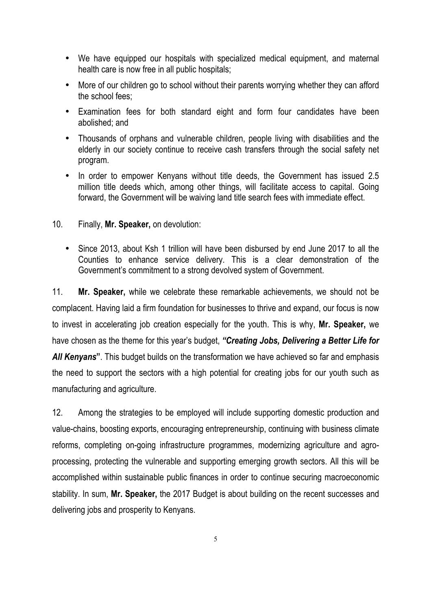- We have equipped our hospitals with specialized medical equipment, and maternal health care is now free in all public hospitals;
- More of our children go to school without their parents worrying whether they can afford the school fees;
- Examination fees for both standard eight and form four candidates have been abolished; and
- Thousands of orphans and vulnerable children, people living with disabilities and the elderly in our society continue to receive cash transfers through the social safety net program.
- In order to empower Kenyans without title deeds, the Government has issued 2.5 million title deeds which, among other things, will facilitate access to capital. Going forward, the Government will be waiving land title search fees with immediate effect.
- 10. Finally, **Mr. Speaker,** on devolution:
	- Since 2013, about Ksh 1 trillion will have been disbursed by end June 2017 to all the Counties to enhance service delivery. This is a clear demonstration of the Government's commitment to a strong devolved system of Government.

11. **Mr. Speaker,** while we celebrate these remarkable achievements, we should not be complacent. Having laid a firm foundation for businesses to thrive and expand, our focus is now to invest in accelerating job creation especially for the youth. This is why, **Mr. Speaker,** we have chosen as the theme for this year's budget, *"Creating Jobs, Delivering a Better Life for All Kenyans***"**. This budget builds on the transformation we have achieved so far and emphasis the need to support the sectors with a high potential for creating jobs for our youth such as manufacturing and agriculture.

12. Among the strategies to be employed will include supporting domestic production and value-chains, boosting exports, encouraging entrepreneurship, continuing with business climate reforms, completing on-going infrastructure programmes, modernizing agriculture and agroprocessing, protecting the vulnerable and supporting emerging growth sectors. All this will be accomplished within sustainable public finances in order to continue securing macroeconomic stability. In sum, **Mr. Speaker,** the 2017 Budget is about building on the recent successes and delivering jobs and prosperity to Kenyans.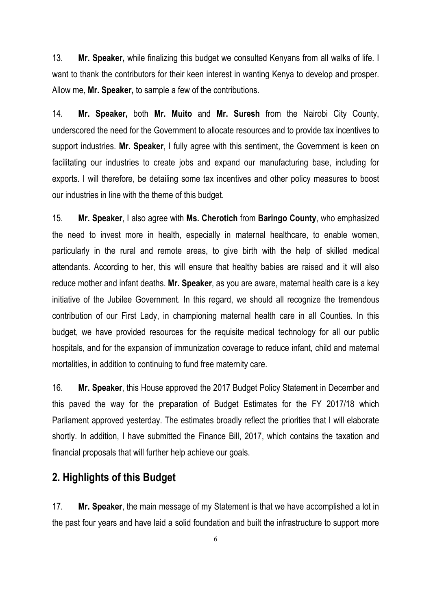13. **Mr. Speaker,** while finalizing this budget we consulted Kenyans from all walks of life. I want to thank the contributors for their keen interest in wanting Kenya to develop and prosper. Allow me, **Mr. Speaker,** to sample a few of the contributions.

14. **Mr. Speaker,** both **Mr. Muito** and **Mr. Suresh** from the Nairobi City County, underscored the need for the Government to allocate resources and to provide tax incentives to support industries. **Mr. Speaker**, I fully agree with this sentiment, the Government is keen on facilitating our industries to create jobs and expand our manufacturing base, including for exports. I will therefore, be detailing some tax incentives and other policy measures to boost our industries in line with the theme of this budget.

15. **Mr. Speaker**, I also agree with **Ms. Cherotich** from **Baringo County**, who emphasized the need to invest more in health, especially in maternal healthcare, to enable women, particularly in the rural and remote areas, to give birth with the help of skilled medical attendants. According to her, this will ensure that healthy babies are raised and it will also reduce mother and infant deaths. **Mr. Speaker**, as you are aware, maternal health care is a key initiative of the Jubilee Government. In this regard, we should all recognize the tremendous contribution of our First Lady, in championing maternal health care in all Counties. In this budget, we have provided resources for the requisite medical technology for all our public hospitals, and for the expansion of immunization coverage to reduce infant, child and maternal mortalities, in addition to continuing to fund free maternity care.

16. **Mr. Speaker**, this House approved the 2017 Budget Policy Statement in December and this paved the way for the preparation of Budget Estimates for the FY 2017/18 which Parliament approved yesterday. The estimates broadly reflect the priorities that I will elaborate shortly. In addition, I have submitted the Finance Bill, 2017, which contains the taxation and financial proposals that will further help achieve our goals.

### **2. Highlights of this Budget**

17. **Mr. Speaker**, the main message of my Statement is that we have accomplished a lot in the past four years and have laid a solid foundation and built the infrastructure to support more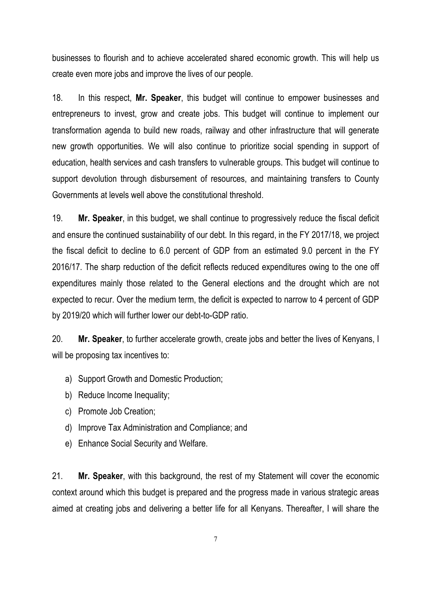businesses to flourish and to achieve accelerated shared economic growth. This will help us create even more jobs and improve the lives of our people.

18. In this respect, **Mr. Speaker**, this budget will continue to empower businesses and entrepreneurs to invest, grow and create jobs. This budget will continue to implement our transformation agenda to build new roads, railway and other infrastructure that will generate new growth opportunities. We will also continue to prioritize social spending in support of education, health services and cash transfers to vulnerable groups. This budget will continue to support devolution through disbursement of resources, and maintaining transfers to County Governments at levels well above the constitutional threshold.

19. **Mr. Speaker**, in this budget, we shall continue to progressively reduce the fiscal deficit and ensure the continued sustainability of our debt. In this regard, in the FY 2017/18, we project the fiscal deficit to decline to 6.0 percent of GDP from an estimated 9.0 percent in the FY 2016/17. The sharp reduction of the deficit reflects reduced expenditures owing to the one off expenditures mainly those related to the General elections and the drought which are not expected to recur. Over the medium term, the deficit is expected to narrow to 4 percent of GDP by 2019/20 which will further lower our debt-to-GDP ratio.

20. **Mr. Speaker**, to further accelerate growth, create jobs and better the lives of Kenyans, I will be proposing tax incentives to:

- a) Support Growth and Domestic Production;
- b) Reduce Income Inequality;
- c) Promote Job Creation;
- d) Improve Tax Administration and Compliance; and
- e) Enhance Social Security and Welfare.

21. **Mr. Speaker**, with this background, the rest of my Statement will cover the economic context around which this budget is prepared and the progress made in various strategic areas aimed at creating jobs and delivering a better life for all Kenyans. Thereafter, I will share the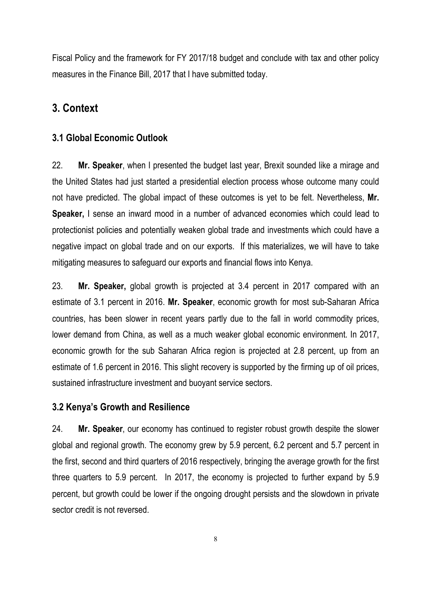Fiscal Policy and the framework for FY 2017/18 budget and conclude with tax and other policy measures in the Finance Bill, 2017 that I have submitted today.

## **3. Context**

#### **3.1 Global Economic Outlook**

22. **Mr. Speaker**, when I presented the budget last year, Brexit sounded like a mirage and the United States had just started a presidential election process whose outcome many could not have predicted. The global impact of these outcomes is yet to be felt. Nevertheless, **Mr. Speaker,** I sense an inward mood in a number of advanced economies which could lead to protectionist policies and potentially weaken global trade and investments which could have a negative impact on global trade and on our exports. If this materializes, we will have to take mitigating measures to safeguard our exports and financial flows into Kenya.

23. **Mr. Speaker,** global growth is projected at 3.4 percent in 2017 compared with an estimate of 3.1 percent in 2016. **Mr. Speaker**, economic growth for most sub-Saharan Africa countries, has been slower in recent years partly due to the fall in world commodity prices, lower demand from China, as well as a much weaker global economic environment. In 2017, economic growth for the sub Saharan Africa region is projected at 2.8 percent, up from an estimate of 1.6 percent in 2016. This slight recovery is supported by the firming up of oil prices, sustained infrastructure investment and buoyant service sectors.

#### **3.2 Kenya's Growth and Resilience**

24. **Mr. Speaker**, our economy has continued to register robust growth despite the slower global and regional growth. The economy grew by 5.9 percent, 6.2 percent and 5.7 percent in the first, second and third quarters of 2016 respectively, bringing the average growth for the first three quarters to 5.9 percent. In 2017, the economy is projected to further expand by 5.9 percent, but growth could be lower if the ongoing drought persists and the slowdown in private sector credit is not reversed.

8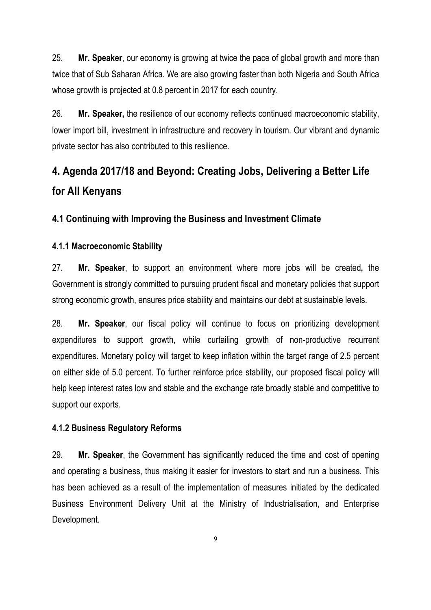25. **Mr. Speaker**, our economy is growing at twice the pace of global growth and more than twice that of Sub Saharan Africa. We are also growing faster than both Nigeria and South Africa whose growth is projected at 0.8 percent in 2017 for each country.

26. **Mr. Speaker,** the resilience of our economy reflects continued macroeconomic stability, lower import bill, investment in infrastructure and recovery in tourism. Our vibrant and dynamic private sector has also contributed to this resilience.

## **4. Agenda 2017/18 and Beyond: Creating Jobs, Delivering a Better Life for All Kenyans**

### **4.1 Continuing with Improving the Business and Investment Climate**

#### **4.1.1 Macroeconomic Stability**

27. **Mr. Speaker**, to support an environment where more jobs will be created**,** the Government is strongly committed to pursuing prudent fiscal and monetary policies that support strong economic growth, ensures price stability and maintains our debt at sustainable levels.

28. **Mr. Speaker**, our fiscal policy will continue to focus on prioritizing development expenditures to support growth, while curtailing growth of non-productive recurrent expenditures. Monetary policy will target to keep inflation within the target range of 2.5 percent on either side of 5.0 percent. To further reinforce price stability, our proposed fiscal policy will help keep interest rates low and stable and the exchange rate broadly stable and competitive to support our exports.

#### **4.1.2 Business Regulatory Reforms**

29. **Mr. Speaker**, the Government has significantly reduced the time and cost of opening and operating a business, thus making it easier for investors to start and run a business. This has been achieved as a result of the implementation of measures initiated by the dedicated Business Environment Delivery Unit at the Ministry of Industrialisation, and Enterprise Development.

9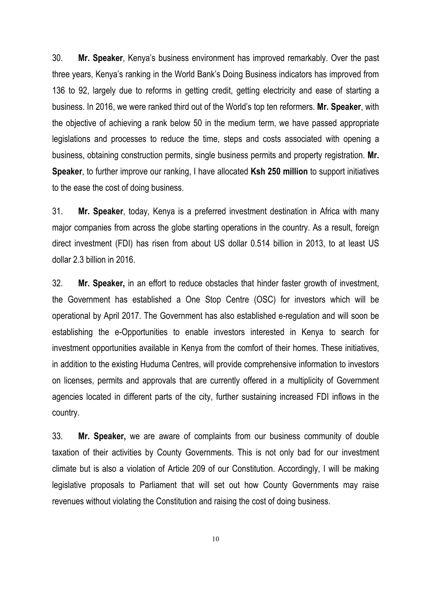30. **Mr. Speaker**, Kenya's business environment has improved remarkably. Over the past three years, Kenya's ranking in the World Bank's Doing Business indicators has improved from 136 to 92, largely due to reforms in getting credit, getting electricity and ease of starting a business. In 2016, we were ranked third out of the World's top ten reformers. **Mr. Speaker**, with the objective of achieving a rank below 50 in the medium term, we have passed appropriate legislations and processes to reduce the time, steps and costs associated with opening a business, obtaining construction permits, single business permits and property registration. **Mr. Speaker**, to further improve our ranking, I have allocated **Ksh 250 million** to support initiatives to the ease the cost of doing business.

31. **Mr. Speaker**, today, Kenya is a preferred investment destination in Africa with many major companies from across the globe starting operations in the country. As a result, foreign direct investment (FDI) has risen from about US dollar 0.514 billion in 2013, to at least US dollar 2.3 billion in 2016.

32. **Mr. Speaker,** in an effort to reduce obstacles that hinder faster growth of investment, the Government has established a One Stop Centre (OSC) for investors which will be operational by April 2017. The Government has also established e-regulation and will soon be establishing the e-Opportunities to enable investors interested in Kenya to search for investment opportunities available in Kenya from the comfort of their homes. These initiatives, in addition to the existing Huduma Centres, will provide comprehensive information to investors on licenses, permits and approvals that are currently offered in a multiplicity of Government agencies located in different parts of the city, further sustaining increased FDI inflows in the country.

33. **Mr. Speaker,** we are aware of complaints from our business community of double taxation of their activities by County Governments. This is not only bad for our investment climate but is also a violation of Article 209 of our Constitution. Accordingly, I will be making legislative proposals to Parliament that will set out how County Governments may raise revenues without violating the Constitution and raising the cost of doing business.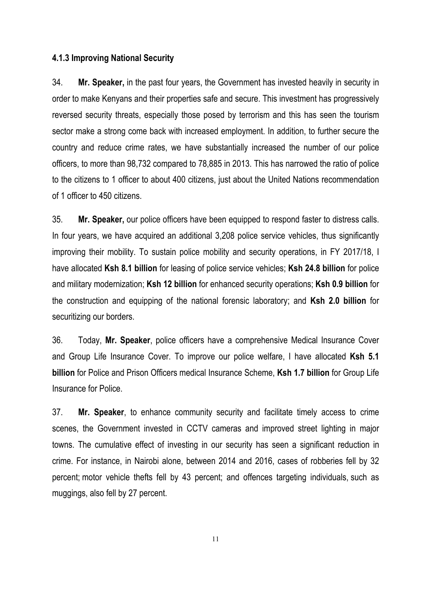#### **4.1.3 Improving National Security**

34. **Mr. Speaker,** in the past four years, the Government has invested heavily in security in order to make Kenyans and their properties safe and secure. This investment has progressively reversed security threats, especially those posed by terrorism and this has seen the tourism sector make a strong come back with increased employment. In addition, to further secure the country and reduce crime rates, we have substantially increased the number of our police officers, to more than 98,732 compared to 78,885 in 2013. This has narrowed the ratio of police to the citizens to 1 officer to about 400 citizens, just about the United Nations recommendation of 1 officer to 450 citizens.

35. **Mr. Speaker,** our police officers have been equipped to respond faster to distress calls. In four years, we have acquired an additional 3,208 police service vehicles, thus significantly improving their mobility. To sustain police mobility and security operations, in FY 2017/18, I have allocated **Ksh 8.1 billion** for leasing of police service vehicles; **Ksh 24.8 billion** for police and military modernization; **Ksh 12 billion** for enhanced security operations; **Ksh 0.9 billion** for the construction and equipping of the national forensic laboratory; and **Ksh 2.0 billion** for securitizing our borders.

36. Today, **Mr. Speaker**, police officers have a comprehensive Medical Insurance Cover and Group Life Insurance Cover. To improve our police welfare, I have allocated **Ksh 5.1 billion** for Police and Prison Officers medical Insurance Scheme, **Ksh 1.7 billion** for Group Life Insurance for Police.

37. **Mr. Speaker**, to enhance community security and facilitate timely access to crime scenes, the Government invested in CCTV cameras and improved street lighting in major towns. The cumulative effect of investing in our security has seen a significant reduction in crime. For instance, in Nairobi alone, between 2014 and 2016, cases of robberies fell by 32 percent; motor vehicle thefts fell by 43 percent; and offences targeting individuals, such as muggings, also fell by 27 percent.

11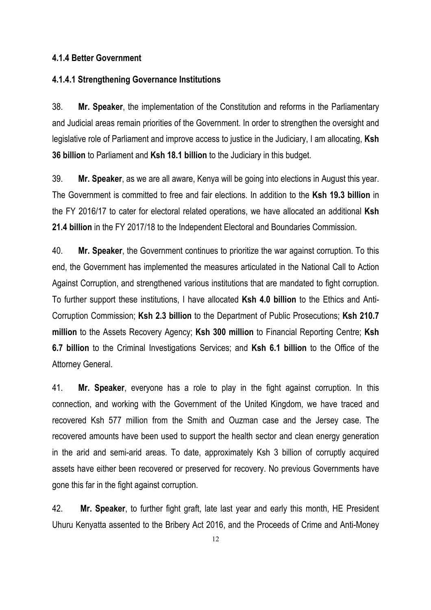#### **4.1.4 Better Government**

#### **4.1.4.1 Strengthening Governance Institutions**

38. **Mr. Speaker**, the implementation of the Constitution and reforms in the Parliamentary and Judicial areas remain priorities of the Government. In order to strengthen the oversight and legislative role of Parliament and improve access to justice in the Judiciary, I am allocating, **Ksh 36 billion** to Parliament and **Ksh 18.1 billion** to the Judiciary in this budget.

39. **Mr. Speaker**, as we are all aware, Kenya will be going into elections in August this year. The Government is committed to free and fair elections. In addition to the **Ksh 19.3 billion** in the FY 2016/17 to cater for electoral related operations, we have allocated an additional **Ksh 21.4 billion** in the FY 2017/18 to the Independent Electoral and Boundaries Commission.

40. **Mr. Speaker**, the Government continues to prioritize the war against corruption. To this end, the Government has implemented the measures articulated in the National Call to Action Against Corruption, and strengthened various institutions that are mandated to fight corruption. To further support these institutions, I have allocated **Ksh 4.0 billion** to the Ethics and Anti-Corruption Commission; **Ksh 2.3 billion** to the Department of Public Prosecutions; **Ksh 210.7 million** to the Assets Recovery Agency; **Ksh 300 million** to Financial Reporting Centre; **Ksh 6.7 billion** to the Criminal Investigations Services; and **Ksh 6.1 billion** to the Office of the Attorney General.

41. **Mr. Speaker**, everyone has a role to play in the fight against corruption. In this connection, and working with the Government of the United Kingdom, we have traced and recovered Ksh 577 million from the Smith and Ouzman case and the Jersey case. The recovered amounts have been used to support the health sector and clean energy generation in the arid and semi-arid areas. To date, approximately Ksh 3 billion of corruptly acquired assets have either been recovered or preserved for recovery. No previous Governments have gone this far in the fight against corruption.

42. **Mr. Speaker**, to further fight graft, late last year and early this month, HE President Uhuru Kenyatta assented to the Bribery Act 2016, and the Proceeds of Crime and Anti-Money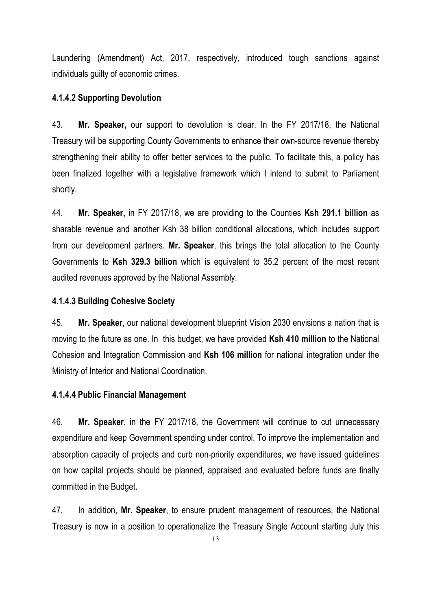Laundering (Amendment) Act, 2017, respectively, introduced tough sanctions against individuals guilty of economic crimes.

#### **4.1.4.2 Supporting Devolution**

43. **Mr. Speaker,** our support to devolution is clear. In the FY 2017/18, the National Treasury will be supporting County Governments to enhance their own-source revenue thereby strengthening their ability to offer better services to the public. To facilitate this, a policy has been finalized together with a legislative framework which I intend to submit to Parliament shortly.

44. **Mr. Speaker,** in FY 2017/18, we are providing to the Counties **Ksh 291.1 billion** as sharable revenue and another Ksh 38 billion conditional allocations, which includes support from our development partners. **Mr. Speaker**, this brings the total allocation to the County Governments to **Ksh 329.3 billion** which is equivalent to 35.2 percent of the most recent audited revenues approved by the National Assembly.

#### **4.1.4.3 Building Cohesive Society**

45. **Mr. Speaker**, our national development blueprint Vision 2030 envisions a nation that is moving to the future as one. In this budget, we have provided **Ksh 410 million** to the National Cohesion and Integration Commission and **Ksh 106 million** for national integration under the Ministry of Interior and National Coordination.

#### **4.1.4.4 Public Financial Management**

46. **Mr. Speaker**, in the FY 2017/18, the Government will continue to cut unnecessary expenditure and keep Government spending under control. To improve the implementation and absorption capacity of projects and curb non-priority expenditures, we have issued guidelines on how capital projects should be planned, appraised and evaluated before funds are finally committed in the Budget.

47. In addition, **Mr. Speaker**, to ensure prudent management of resources, the National Treasury is now in a position to operationalize the Treasury Single Account starting July this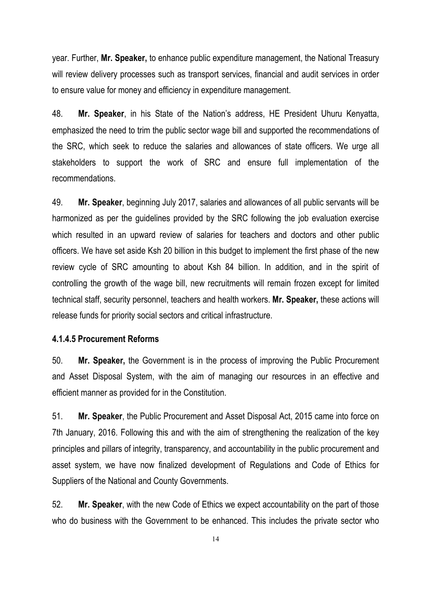year. Further, **Mr. Speaker,** to enhance public expenditure management, the National Treasury will review delivery processes such as transport services, financial and audit services in order to ensure value for money and efficiency in expenditure management.

48. **Mr. Speaker**, in his State of the Nation's address, HE President Uhuru Kenyatta, emphasized the need to trim the public sector wage bill and supported the recommendations of the SRC, which seek to reduce the salaries and allowances of state officers. We urge all stakeholders to support the work of SRC and ensure full implementation of the recommendations.

49. **Mr. Speaker**, beginning July 2017, salaries and allowances of all public servants will be harmonized as per the guidelines provided by the SRC following the job evaluation exercise which resulted in an upward review of salaries for teachers and doctors and other public officers. We have set aside Ksh 20 billion in this budget to implement the first phase of the new review cycle of SRC amounting to about Ksh 84 billion. In addition, and in the spirit of controlling the growth of the wage bill, new recruitments will remain frozen except for limited technical staff, security personnel, teachers and health workers. **Mr. Speaker,** these actions will release funds for priority social sectors and critical infrastructure.

#### **4.1.4.5 Procurement Reforms**

50. **Mr. Speaker,** the Government is in the process of improving the Public Procurement and Asset Disposal System, with the aim of managing our resources in an effective and efficient manner as provided for in the Constitution.

51. **Mr. Speaker**, the Public Procurement and Asset Disposal Act, 2015 came into force on 7th January, 2016. Following this and with the aim of strengthening the realization of the key principles and pillars of integrity, transparency, and accountability in the public procurement and asset system, we have now finalized development of Regulations and Code of Ethics for Suppliers of the National and County Governments.

52. **Mr. Speaker**, with the new Code of Ethics we expect accountability on the part of those who do business with the Government to be enhanced. This includes the private sector who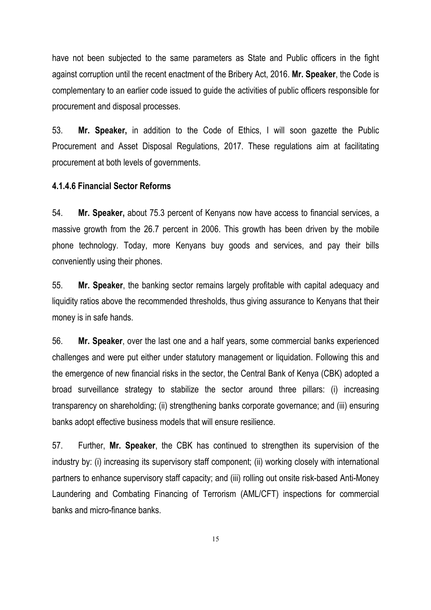have not been subjected to the same parameters as State and Public officers in the fight against corruption until the recent enactment of the Bribery Act, 2016. **Mr. Speaker**, the Code is complementary to an earlier code issued to guide the activities of public officers responsible for procurement and disposal processes.

53. **Mr. Speaker,** in addition to the Code of Ethics, I will soon gazette the Public Procurement and Asset Disposal Regulations, 2017. These regulations aim at facilitating procurement at both levels of governments.

#### **4.1.4.6 Financial Sector Reforms**

54. **Mr. Speaker,** about 75.3 percent of Kenyans now have access to financial services, a massive growth from the 26.7 percent in 2006. This growth has been driven by the mobile phone technology. Today, more Kenyans buy goods and services, and pay their bills conveniently using their phones.

55. **Mr. Speaker**, the banking sector remains largely profitable with capital adequacy and liquidity ratios above the recommended thresholds, thus giving assurance to Kenyans that their money is in safe hands.

56. **Mr. Speaker**, over the last one and a half years, some commercial banks experienced challenges and were put either under statutory management or liquidation. Following this and the emergence of new financial risks in the sector, the Central Bank of Kenya (CBK) adopted a broad surveillance strategy to stabilize the sector around three pillars: (i) increasing transparency on shareholding; (ii) strengthening banks corporate governance; and (iii) ensuring banks adopt effective business models that will ensure resilience.

57. Further, **Mr. Speaker**, the CBK has continued to strengthen its supervision of the industry by: (i) increasing its supervisory staff component; (ii) working closely with international partners to enhance supervisory staff capacity; and (iii) rolling out onsite risk-based Anti-Money Laundering and Combating Financing of Terrorism (AML/CFT) inspections for commercial banks and micro-finance banks.

15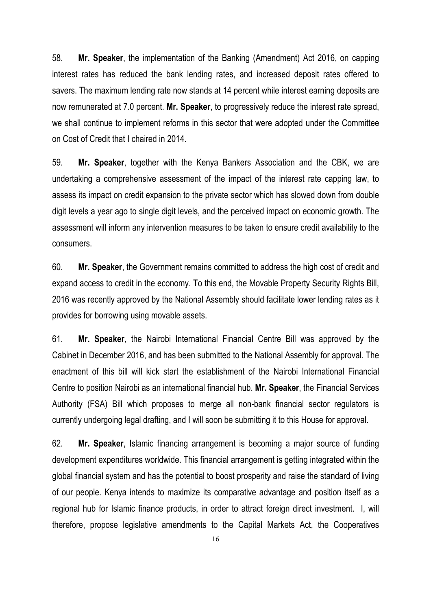58. **Mr. Speaker**, the implementation of the Banking (Amendment) Act 2016, on capping interest rates has reduced the bank lending rates, and increased deposit rates offered to savers. The maximum lending rate now stands at 14 percent while interest earning deposits are now remunerated at 7.0 percent. **Mr. Speaker**, to progressively reduce the interest rate spread, we shall continue to implement reforms in this sector that were adopted under the Committee on Cost of Credit that I chaired in 2014.

59. **Mr. Speaker**, together with the Kenya Bankers Association and the CBK, we are undertaking a comprehensive assessment of the impact of the interest rate capping law, to assess its impact on credit expansion to the private sector which has slowed down from double digit levels a year ago to single digit levels, and the perceived impact on economic growth. The assessment will inform any intervention measures to be taken to ensure credit availability to the consumers.

60. **Mr. Speaker**, the Government remains committed to address the high cost of credit and expand access to credit in the economy. To this end, the Movable Property Security Rights Bill, 2016 was recently approved by the National Assembly should facilitate lower lending rates as it provides for borrowing using movable assets.

61. **Mr. Speaker**, the Nairobi International Financial Centre Bill was approved by the Cabinet in December 2016, and has been submitted to the National Assembly for approval. The enactment of this bill will kick start the establishment of the Nairobi International Financial Centre to position Nairobi as an international financial hub. **Mr. Speaker**, the Financial Services Authority (FSA) Bill which proposes to merge all non-bank financial sector regulators is currently undergoing legal drafting, and I will soon be submitting it to this House for approval.

62. **Mr. Speaker**, Islamic financing arrangement is becoming a major source of funding development expenditures worldwide. This financial arrangement is getting integrated within the global financial system and has the potential to boost prosperity and raise the standard of living of our people. Kenya intends to maximize its comparative advantage and position itself as a regional hub for Islamic finance products, in order to attract foreign direct investment. I, will therefore, propose legislative amendments to the Capital Markets Act, the Cooperatives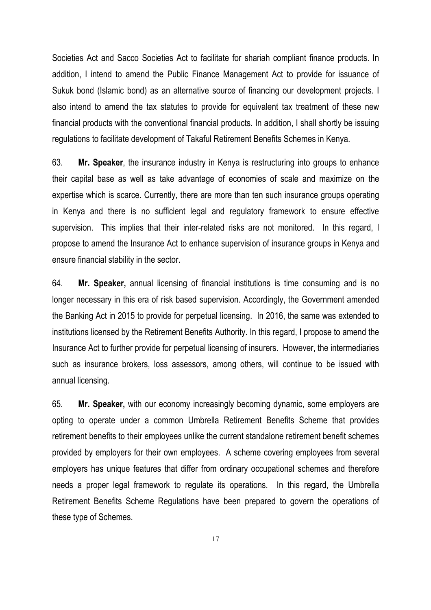Societies Act and Sacco Societies Act to facilitate for shariah compliant finance products. In addition, I intend to amend the Public Finance Management Act to provide for issuance of Sukuk bond (Islamic bond) as an alternative source of financing our development projects. I also intend to amend the tax statutes to provide for equivalent tax treatment of these new financial products with the conventional financial products. In addition, I shall shortly be issuing regulations to facilitate development of Takaful Retirement Benefits Schemes in Kenya.

63. **Mr. Speaker**, the insurance industry in Kenya is restructuring into groups to enhance their capital base as well as take advantage of economies of scale and maximize on the expertise which is scarce. Currently, there are more than ten such insurance groups operating in Kenya and there is no sufficient legal and regulatory framework to ensure effective supervision. This implies that their inter-related risks are not monitored. In this regard, I propose to amend the Insurance Act to enhance supervision of insurance groups in Kenya and ensure financial stability in the sector.

64. **Mr. Speaker,** annual licensing of financial institutions is time consuming and is no longer necessary in this era of risk based supervision. Accordingly, the Government amended the Banking Act in 2015 to provide for perpetual licensing. In 2016, the same was extended to institutions licensed by the Retirement Benefits Authority. In this regard, I propose to amend the Insurance Act to further provide for perpetual licensing of insurers. However, the intermediaries such as insurance brokers, loss assessors, among others, will continue to be issued with annual licensing.

65. **Mr. Speaker,** with our economy increasingly becoming dynamic, some employers are opting to operate under a common Umbrella Retirement Benefits Scheme that provides retirement benefits to their employees unlike the current standalone retirement benefit schemes provided by employers for their own employees. A scheme covering employees from several employers has unique features that differ from ordinary occupational schemes and therefore needs a proper legal framework to regulate its operations. In this regard, the Umbrella Retirement Benefits Scheme Regulations have been prepared to govern the operations of these type of Schemes.

17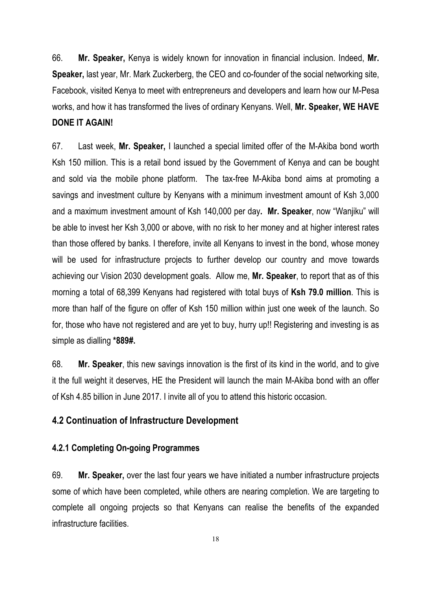66. **Mr. Speaker,** Kenya is widely known for innovation in financial inclusion. Indeed, **Mr. Speaker,** last year, Mr. Mark Zuckerberg, the CEO and co-founder of the social networking site, Facebook, visited Kenya to meet with entrepreneurs and developers and learn how our M-Pesa works, and how it has transformed the lives of ordinary Kenyans. Well, **Mr. Speaker, WE HAVE DONE IT AGAIN!**

67. Last week, **Mr. Speaker,** I launched a special limited offer of the M-Akiba bond worth Ksh 150 million. This is a retail bond issued by the Government of Kenya and can be bought and sold via the mobile phone platform. The tax-free M-Akiba bond aims at promoting a savings and investment culture by Kenyans with a minimum investment amount of Ksh 3,000 and a maximum investment amount of Ksh 140,000 per day**. Mr. Speaker**, now "Wanjiku" will be able to invest her Ksh 3,000 or above, with no risk to her money and at higher interest rates than those offered by banks. I therefore, invite all Kenyans to invest in the bond, whose money will be used for infrastructure projects to further develop our country and move towards achieving our Vision 2030 development goals. Allow me, **Mr. Speaker**, to report that as of this morning a total of 68,399 Kenyans had registered with total buys of **Ksh 79.0 million**. This is more than half of the figure on offer of Ksh 150 million within just one week of the launch. So for, those who have not registered and are yet to buy, hurry up!! Registering and investing is as simple as dialling **\*889#.**

68. **Mr. Speaker**, this new savings innovation is the first of its kind in the world, and to give it the full weight it deserves, HE the President will launch the main M-Akiba bond with an offer of Ksh 4.85 billion in June 2017. I invite all of you to attend this historic occasion.

#### **4.2 Continuation of Infrastructure Development**

#### **4.2.1 Completing On-going Programmes**

69. **Mr. Speaker,** over the last four years we have initiated a number infrastructure projects some of which have been completed, while others are nearing completion. We are targeting to complete all ongoing projects so that Kenyans can realise the benefits of the expanded infrastructure facilities.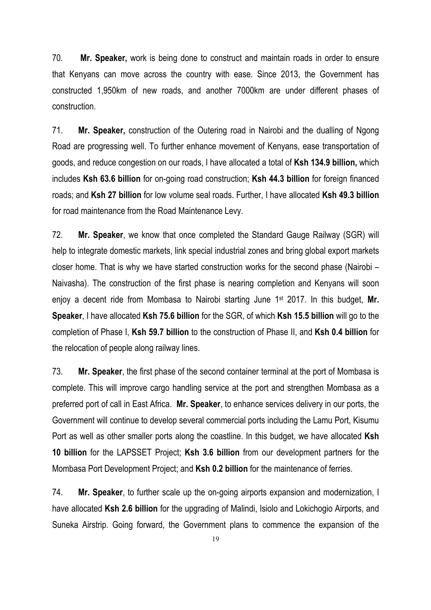70. **Mr. Speaker,** work is being done to construct and maintain roads in order to ensure that Kenyans can move across the country with ease. Since 2013, the Government has constructed 1,950km of new roads, and another 7000km are under different phases of construction.

71. **Mr. Speaker,** construction of the Outering road in Nairobi and the dualling of Ngong Road are progressing well. To further enhance movement of Kenyans, ease transportation of goods, and reduce congestion on our roads, I have allocated a total of **Ksh 134.9 billion,** which includes **Ksh 63.6 billion** for on-going road construction; **Ksh 44.3 billion** for foreign financed roads; and **Ksh 27 billion** for low volume seal roads. Further, I have allocated **Ksh 49.3 billion** for road maintenance from the Road Maintenance Levy.

72. **Mr. Speaker**, we know that once completed the Standard Gauge Railway (SGR) will help to integrate domestic markets, link special industrial zones and bring global export markets closer home. That is why we have started construction works for the second phase (Nairobi – Naivasha). The construction of the first phase is nearing completion and Kenyans will soon enjoy a decent ride from Mombasa to Nairobi starting June 1st 2017. In this budget, **Mr. Speaker**, I have allocated **Ksh 75.6 billion** for the SGR, of which **Ksh 15.5 billion** will go to the completion of Phase I, **Ksh 59.7 billion** to the construction of Phase II, and **Ksh 0.4 billion** for the relocation of people along railway lines.

73. **Mr. Speaker**, the first phase of the second container terminal at the port of Mombasa is complete. This will improve cargo handling service at the port and strengthen Mombasa as a preferred port of call in East Africa. **Mr. Speaker**, to enhance services delivery in our ports, the Government will continue to develop several commercial ports including the Lamu Port, Kisumu Port as well as other smaller ports along the coastline. In this budget, we have allocated **Ksh 10 billion** for the LAPSSET Project; **Ksh 3.6 billion** from our development partners for the Mombasa Port Development Project; and **Ksh 0.2 billion** for the maintenance of ferries.

74. **Mr. Speaker**, to further scale up the on-going airports expansion and modernization, I have allocated **Ksh 2.6 billion** for the upgrading of Malindi, Isiolo and Lokichogio Airports, and Suneka Airstrip. Going forward, the Government plans to commence the expansion of the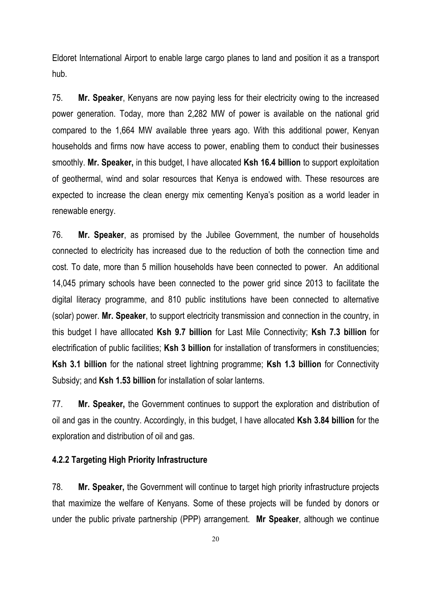Eldoret International Airport to enable large cargo planes to land and position it as a transport hub.

75. **Mr. Speaker**, Kenyans are now paying less for their electricity owing to the increased power generation. Today, more than 2,282 MW of power is available on the national grid compared to the 1,664 MW available three years ago. With this additional power, Kenyan households and firms now have access to power, enabling them to conduct their businesses smoothly. **Mr. Speaker,** in this budget, I have allocated **Ksh 16.4 billion** to support exploitation of geothermal, wind and solar resources that Kenya is endowed with. These resources are expected to increase the clean energy mix cementing Kenya's position as a world leader in renewable energy.

76. **Mr. Speaker**, as promised by the Jubilee Government, the number of households connected to electricity has increased due to the reduction of both the connection time and cost. To date, more than 5 million households have been connected to power. An additional 14,045 primary schools have been connected to the power grid since 2013 to facilitate the digital literacy programme, and 810 public institutions have been connected to alternative (solar) power. **Mr. Speaker**, to support electricity transmission and connection in the country, in this budget I have alllocated **Ksh 9.7 billion** for Last Mile Connectivity; **Ksh 7.3 billion** for electrification of public facilities; **Ksh 3 billion** for installation of transformers in constituencies; **Ksh 3.1 billion** for the national street lightning programme; **Ksh 1.3 billion** for Connectivity Subsidy; and **Ksh 1.53 billion** for installation of solar lanterns.

77. **Mr. Speaker,** the Government continues to support the exploration and distribution of oil and gas in the country. Accordingly, in this budget, I have allocated **Ksh 3.84 billion** for the exploration and distribution of oil and gas.

#### **4.2.2 Targeting High Priority Infrastructure**

78. **Mr. Speaker,** the Government will continue to target high priority infrastructure projects that maximize the welfare of Kenyans. Some of these projects will be funded by donors or under the public private partnership (PPP) arrangement. **Mr Speaker**, although we continue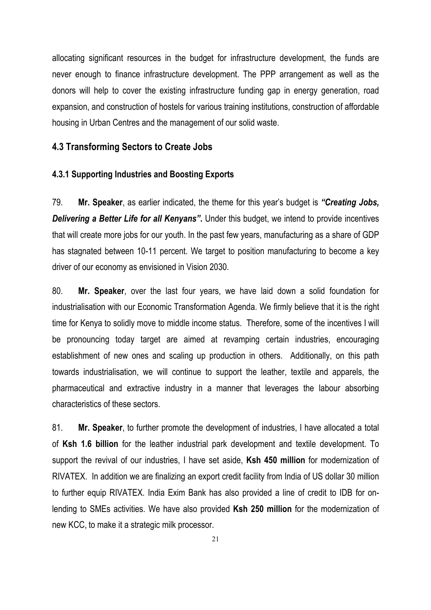allocating significant resources in the budget for infrastructure development, the funds are never enough to finance infrastructure development. The PPP arrangement as well as the donors will help to cover the existing infrastructure funding gap in energy generation, road expansion, and construction of hostels for various training institutions, construction of affordable housing in Urban Centres and the management of our solid waste.

#### **4.3 Transforming Sectors to Create Jobs**

#### **4.3.1 Supporting Industries and Boosting Exports**

79. **Mr. Speaker**, as earlier indicated, the theme for this year's budget is *"Creating Jobs, Delivering a Better Life for all Kenyans"***.** Under this budget, we intend to provide incentives that will create more jobs for our youth. In the past few years, manufacturing as a share of GDP has stagnated between 10-11 percent. We target to position manufacturing to become a key driver of our economy as envisioned in Vision 2030.

80. **Mr. Speaker**, over the last four years, we have laid down a solid foundation for industrialisation with our Economic Transformation Agenda. We firmly believe that it is the right time for Kenya to solidly move to middle income status. Therefore, some of the incentives I will be pronouncing today target are aimed at revamping certain industries, encouraging establishment of new ones and scaling up production in others. Additionally, on this path towards industrialisation, we will continue to support the leather, textile and apparels, the pharmaceutical and extractive industry in a manner that leverages the labour absorbing characteristics of these sectors.

81. **Mr. Speaker**, to further promote the development of industries, I have allocated a total of **Ksh 1.6 billion** for the leather industrial park development and textile development. To support the revival of our industries, I have set aside, **Ksh 450 million** for modernization of RIVATEX. In addition we are finalizing an export credit facility from India of US dollar 30 million to further equip RIVATEX. India Exim Bank has also provided a line of credit to IDB for onlending to SMEs activities. We have also provided **Ksh 250 million** for the modernization of new KCC, to make it a strategic milk processor.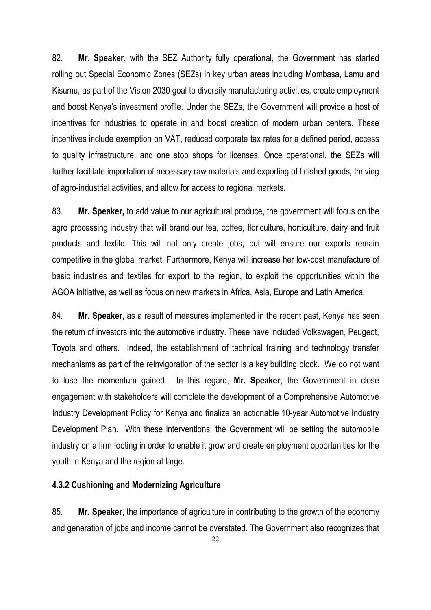82. **Mr. Speaker**, with the SEZ Authority fully operational, the Government has started rolling out Special Economic Zones (SEZs) in key urban areas including Mombasa, Lamu and Kisumu, as part of the Vision 2030 goal to diversify manufacturing activities, create employment and boost Kenya's investment profile. Under the SEZs, the Government will provide a host of incentives for industries to operate in and boost creation of modern urban centers. These incentives include exemption on VAT, reduced corporate tax rates for a defined period, access to quality infrastructure, and one stop shops for licenses. Once operational, the SEZs will further facilitate importation of necessary raw materials and exporting of finished goods, thriving of agro-industrial activities, and allow for access to regional markets.

83. **Mr. Speaker,** to add value to our agricultural produce, the government will focus on the agro processing industry that will brand our tea, coffee, floriculture, horticulture, dairy and fruit products and textile. This will not only create jobs, but will ensure our exports remain competitive in the global market. Furthermore, Kenya will increase her low-cost manufacture of basic industries and textiles for export to the region, to exploit the opportunities within the AGOA initiative, as well as focus on new markets in Africa, Asia, Europe and Latin America.

84. **Mr. Speaker**, as a result of measures implemented in the recent past, Kenya has seen the return of investors into the automotive industry. These have included Volkswagen, Peugeot, Toyota and others. Indeed, the establishment of technical training and technology transfer mechanisms as part of the reinvigoration of the sector is a key building block. We do not want to lose the momentum gained. In this regard, **Mr. Speaker**, the Government in close engagement with stakeholders will complete the development of a Comprehensive Automotive Industry Development Policy for Kenya and finalize an actionable 10-year Automotive Industry Development Plan. With these interventions, the Government will be setting the automobile industry on a firm footing in order to enable it grow and create employment opportunities for the youth in Kenya and the region at large.

#### **4.3.2 Cushioning and Modernizing Agriculture**

85. **Mr. Speaker**, the importance of agriculture in contributing to the growth of the economy and generation of jobs and income cannot be overstated. The Government also recognizes that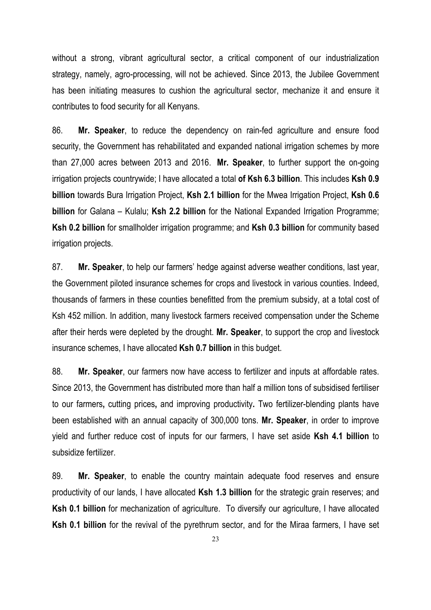without a strong, vibrant agricultural sector, a critical component of our industrialization strategy, namely, agro-processing, will not be achieved. Since 2013, the Jubilee Government has been initiating measures to cushion the agricultural sector, mechanize it and ensure it contributes to food security for all Kenyans.

86. **Mr. Speaker**, to reduce the dependency on rain-fed agriculture and ensure food security, the Government has rehabilitated and expanded national irrigation schemes by more than 27,000 acres between 2013 and 2016. **Mr. Speaker**, to further support the on-going irrigation projects countrywide; I have allocated a total **of Ksh 6.3 billion**. This includes **Ksh 0.9 billion** towards Bura Irrigation Project, **Ksh 2.1 billion** for the Mwea Irrigation Project, **Ksh 0.6 billion** for Galana – Kulalu; **Ksh 2.2 billion** for the National Expanded Irrigation Programme; **Ksh 0.2 billion** for smallholder irrigation programme; and **Ksh 0.3 billion** for community based irrigation projects.

87. **Mr. Speaker**, to help our farmers' hedge against adverse weather conditions, last year, the Government piloted insurance schemes for crops and livestock in various counties. Indeed, thousands of farmers in these counties benefitted from the premium subsidy, at a total cost of Ksh 452 million. In addition, many livestock farmers received compensation under the Scheme after their herds were depleted by the drought. **Mr. Speaker**, to support the crop and livestock insurance schemes, I have allocated **Ksh 0.7 billion** in this budget.

88. **Mr. Speaker**, our farmers now have access to fertilizer and inputs at affordable rates. Since 2013, the Government has distributed more than half a million tons of subsidised fertiliser to our farmers**,** cutting prices**,** and improving productivity**.** Two fertilizer-blending plants have been established with an annual capacity of 300,000 tons. **Mr. Speaker**, in order to improve yield and further reduce cost of inputs for our farmers, I have set aside **Ksh 4.1 billion** to subsidize fertilizer.

89. **Mr. Speaker**, to enable the country maintain adequate food reserves and ensure productivity of our lands, I have allocated **Ksh 1.3 billion** for the strategic grain reserves; and **Ksh 0.1 billion** for mechanization of agriculture. To diversify our agriculture, I have allocated **Ksh 0.1 billion** for the revival of the pyrethrum sector, and for the Miraa farmers, I have set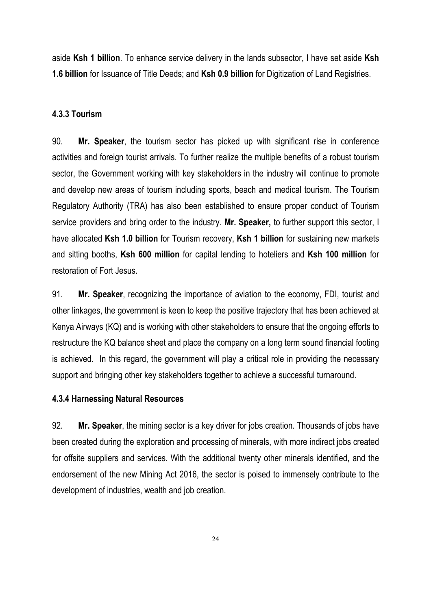aside **Ksh 1 billion**. To enhance service delivery in the lands subsector, I have set aside **Ksh 1.6 billion** for Issuance of Title Deeds; and **Ksh 0.9 billion** for Digitization of Land Registries.

#### **4.3.3 Tourism**

90. **Mr. Speaker**, the tourism sector has picked up with significant rise in conference activities and foreign tourist arrivals. To further realize the multiple benefits of a robust tourism sector, the Government working with key stakeholders in the industry will continue to promote and develop new areas of tourism including sports, beach and medical tourism. The Tourism Regulatory Authority (TRA) has also been established to ensure proper conduct of Tourism service providers and bring order to the industry. **Mr. Speaker,** to further support this sector, I have allocated **Ksh 1.0 billion** for Tourism recovery, **Ksh 1 billion** for sustaining new markets and sitting booths, **Ksh 600 million** for capital lending to hoteliers and **Ksh 100 million** for restoration of Fort Jesus.

91. **Mr. Speaker**, recognizing the importance of aviation to the economy, FDI, tourist and other linkages, the government is keen to keep the positive trajectory that has been achieved at Kenya Airways (KQ) and is working with other stakeholders to ensure that the ongoing efforts to restructure the KQ balance sheet and place the company on a long term sound financial footing is achieved. In this regard, the government will play a critical role in providing the necessary support and bringing other key stakeholders together to achieve a successful turnaround.

#### **4.3.4 Harnessing Natural Resources**

92. **Mr. Speaker**, the mining sector is a key driver for jobs creation. Thousands of jobs have been created during the exploration and processing of minerals, with more indirect jobs created for offsite suppliers and services. With the additional twenty other minerals identified, and the endorsement of the new Mining Act 2016, the sector is poised to immensely contribute to the development of industries, wealth and job creation.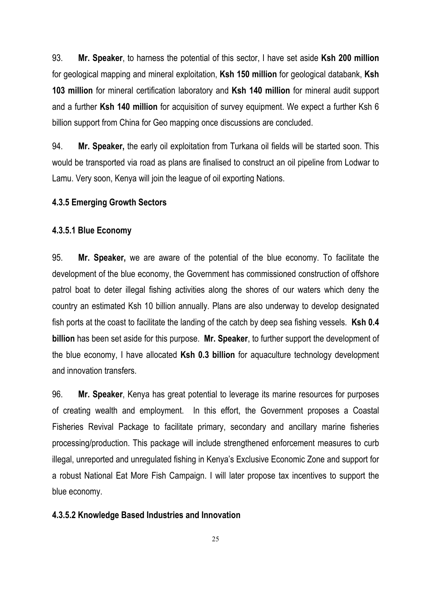93. **Mr. Speaker**, to harness the potential of this sector, I have set aside **Ksh 200 million** for geological mapping and mineral exploitation, **Ksh 150 million** for geological databank, **Ksh 103 million** for mineral certification laboratory and **Ksh 140 million** for mineral audit support and a further **Ksh 140 million** for acquisition of survey equipment. We expect a further Ksh 6 billion support from China for Geo mapping once discussions are concluded.

94. **Mr. Speaker,** the early oil exploitation from Turkana oil fields will be started soon. This would be transported via road as plans are finalised to construct an oil pipeline from Lodwar to Lamu. Very soon, Kenya will join the league of oil exporting Nations.

#### **4.3.5 Emerging Growth Sectors**

#### **4.3.5.1 Blue Economy**

95. **Mr. Speaker,** we are aware of the potential of the blue economy. To facilitate the development of the blue economy, the Government has commissioned construction of offshore patrol boat to deter illegal fishing activities along the shores of our waters which deny the country an estimated Ksh 10 billion annually. Plans are also underway to develop designated fish ports at the coast to facilitate the landing of the catch by deep sea fishing vessels. **Ksh 0.4 billion** has been set aside for this purpose. **Mr. Speaker**, to further support the development of the blue economy, I have allocated **Ksh 0.3 billion** for aquaculture technology development and innovation transfers.

96. **Mr. Speaker**, Kenya has great potential to leverage its marine resources for purposes of creating wealth and employment. In this effort, the Government proposes a Coastal Fisheries Revival Package to facilitate primary, secondary and ancillary marine fisheries processing/production. This package will include strengthened enforcement measures to curb illegal, unreported and unregulated fishing in Kenya's Exclusive Economic Zone and support for a robust National Eat More Fish Campaign. I will later propose tax incentives to support the blue economy.

#### **4.3.5.2 Knowledge Based Industries and Innovation**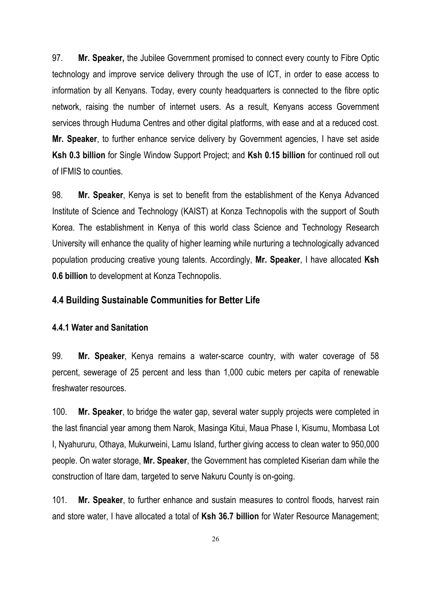97. **Mr. Speaker,** the Jubilee Government promised to connect every county to Fibre Optic technology and improve service delivery through the use of ICT, in order to ease access to information by all Kenyans. Today, every county headquarters is connected to the fibre optic network, raising the number of internet users. As a result, Kenyans access Government services through Huduma Centres and other digital platforms, with ease and at a reduced cost. **Mr. Speaker**, to further enhance service delivery by Government agencies, I have set aside **Ksh 0.3 billion** for Single Window Support Project; and **Ksh 0.15 billion** for continued roll out of IFMIS to counties.

98. **Mr. Speaker**, Kenya is set to benefit from the establishment of the Kenya Advanced Institute of Science and Technology (KAIST) at Konza Technopolis with the support of South Korea. The establishment in Kenya of this world class Science and Technology Research University will enhance the quality of higher learning while nurturing a technologically advanced population producing creative young talents. Accordingly, **Mr. Speaker**, I have allocated **Ksh 0.6 billion** to development at Konza Technopolis.

#### **4.4 Building Sustainable Communities for Better Life**

#### **4.4.1 Water and Sanitation**

99. **Mr. Speaker**, Kenya remains a water-scarce country, with water coverage of 58 percent, sewerage of 25 percent and less than 1,000 cubic meters per capita of renewable freshwater resources.

100. **Mr. Speaker**, to bridge the water gap, several water supply projects were completed in the last financial year among them Narok, Masinga Kitui, Maua Phase I, Kisumu, Mombasa Lot I, Nyahururu, Othaya, Mukurweini, Lamu Island, further giving access to clean water to 950,000 people. On water storage, **Mr. Speaker**, the Government has completed Kiserian dam while the construction of Itare dam, targeted to serve Nakuru County is on-going.

101. **Mr. Speaker**, to further enhance and sustain measures to control floods, harvest rain and store water, I have allocated a total of **Ksh 36.7 billion** for Water Resource Management;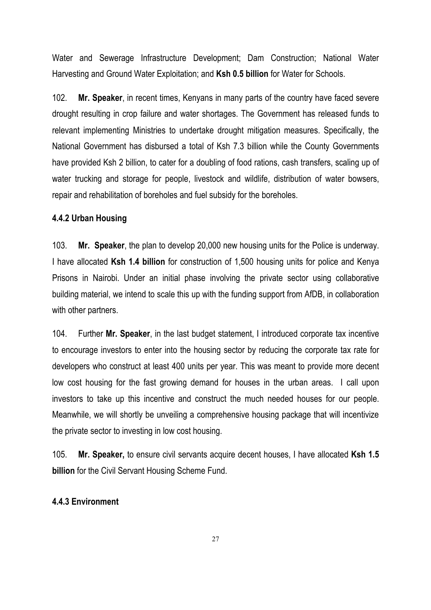Water and Sewerage Infrastructure Development; Dam Construction; National Water Harvesting and Ground Water Exploitation; and **Ksh 0.5 billion** for Water for Schools.

102. **Mr. Speaker**, in recent times, Kenyans in many parts of the country have faced severe drought resulting in crop failure and water shortages. The Government has released funds to relevant implementing Ministries to undertake drought mitigation measures. Specifically, the National Government has disbursed a total of Ksh 7.3 billion while the County Governments have provided Ksh 2 billion, to cater for a doubling of food rations, cash transfers, scaling up of water trucking and storage for people, livestock and wildlife, distribution of water bowsers, repair and rehabilitation of boreholes and fuel subsidy for the boreholes.

#### **4.4.2 Urban Housing**

103. **Mr. Speaker**, the plan to develop 20,000 new housing units for the Police is underway. I have allocated **Ksh 1.4 billion** for construction of 1,500 housing units for police and Kenya Prisons in Nairobi. Under an initial phase involving the private sector using collaborative building material, we intend to scale this up with the funding support from AfDB, in collaboration with other partners.

104. Further **Mr. Speaker**, in the last budget statement, I introduced corporate tax incentive to encourage investors to enter into the housing sector by reducing the corporate tax rate for developers who construct at least 400 units per year. This was meant to provide more decent low cost housing for the fast growing demand for houses in the urban areas. I call upon investors to take up this incentive and construct the much needed houses for our people. Meanwhile, we will shortly be unveiling a comprehensive housing package that will incentivize the private sector to investing in low cost housing.

105. **Mr. Speaker,** to ensure civil servants acquire decent houses, I have allocated **Ksh 1.5 billion** for the Civil Servant Housing Scheme Fund.

#### **4.4.3 Environment**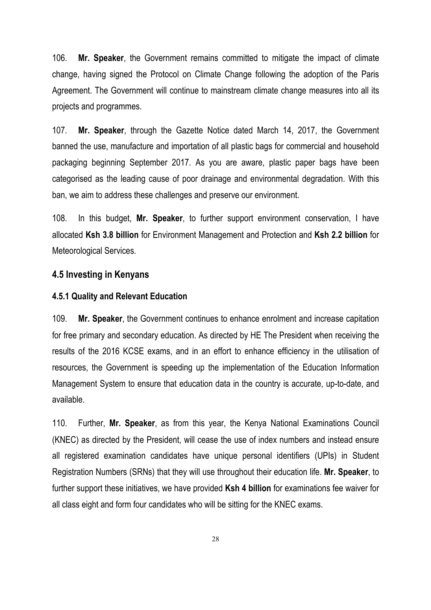106. **Mr. Speaker**, the Government remains committed to mitigate the impact of climate change, having signed the Protocol on Climate Change following the adoption of the Paris Agreement. The Government will continue to mainstream climate change measures into all its projects and programmes.

107. **Mr. Speaker**, through the Gazette Notice dated March 14, 2017, the Government banned the use, manufacture and importation of all plastic bags for commercial and household packaging beginning September 2017. As you are aware, plastic paper bags have been categorised as the leading cause of poor drainage and environmental degradation. With this ban, we aim to address these challenges and preserve our environment.

108. In this budget, **Mr. Speaker**, to further support environment conservation, I have allocated **Ksh 3.8 billion** for Environment Management and Protection and **Ksh 2.2 billion** for Meteorological Services.

#### **4.5 Investing in Kenyans**

#### **4.5.1 Quality and Relevant Education**

109. **Mr. Speaker**, the Government continues to enhance enrolment and increase capitation for free primary and secondary education. As directed by HE The President when receiving the results of the 2016 KCSE exams, and in an effort to enhance efficiency in the utilisation of resources, the Government is speeding up the implementation of the Education Information Management System to ensure that education data in the country is accurate, up-to-date, and available.

110. Further, **Mr. Speaker**, as from this year, the Kenya National Examinations Council (KNEC) as directed by the President, will cease the use of index numbers and instead ensure all registered examination candidates have unique personal identifiers (UPIs) in Student Registration Numbers (SRNs) that they will use throughout their education life. **Mr. Speaker**, to further support these initiatives, we have provided **Ksh 4 billion** for examinations fee waiver for all class eight and form four candidates who will be sitting for the KNEC exams.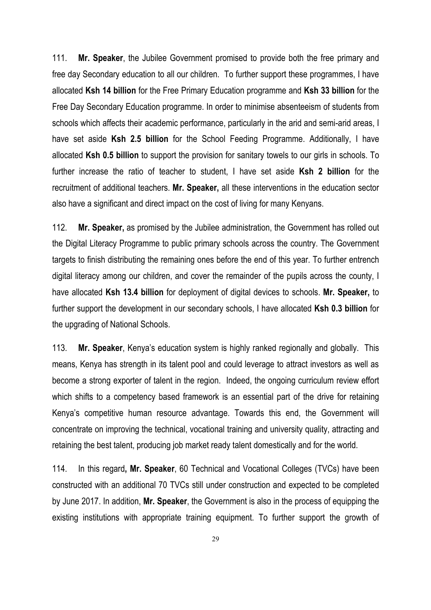111. **Mr. Speaker**, the Jubilee Government promised to provide both the free primary and free day Secondary education to all our children. To further support these programmes, I have allocated **Ksh 14 billion** for the Free Primary Education programme and **Ksh 33 billion** for the Free Day Secondary Education programme. In order to minimise absenteeism of students from schools which affects their academic performance, particularly in the arid and semi-arid areas, I have set aside **Ksh 2.5 billion** for the School Feeding Programme. Additionally, I have allocated **Ksh 0.5 billion** to support the provision for sanitary towels to our girls in schools. To further increase the ratio of teacher to student, I have set aside **Ksh 2 billion** for the recruitment of additional teachers. **Mr. Speaker,** all these interventions in the education sector also have a significant and direct impact on the cost of living for many Kenyans.

112. **Mr. Speaker,** as promised by the Jubilee administration, the Government has rolled out the Digital Literacy Programme to public primary schools across the country. The Government targets to finish distributing the remaining ones before the end of this year. To further entrench digital literacy among our children, and cover the remainder of the pupils across the county, I have allocated **Ksh 13.4 billion** for deployment of digital devices to schools. **Mr. Speaker,** to further support the development in our secondary schools, I have allocated **Ksh 0.3 billion** for the upgrading of National Schools.

113. **Mr. Speaker**, Kenya's education system is highly ranked regionally and globally. This means, Kenya has strength in its talent pool and could leverage to attract investors as well as become a strong exporter of talent in the region. Indeed, the ongoing curriculum review effort which shifts to a competency based framework is an essential part of the drive for retaining Kenya's competitive human resource advantage. Towards this end, the Government will concentrate on improving the technical, vocational training and university quality, attracting and retaining the best talent, producing job market ready talent domestically and for the world.

114. In this regard**, Mr. Speaker**, 60 Technical and Vocational Colleges (TVCs) have been constructed with an additional 70 TVCs still under construction and expected to be completed by June 2017. In addition, **Mr. Speaker**, the Government is also in the process of equipping the existing institutions with appropriate training equipment. To further support the growth of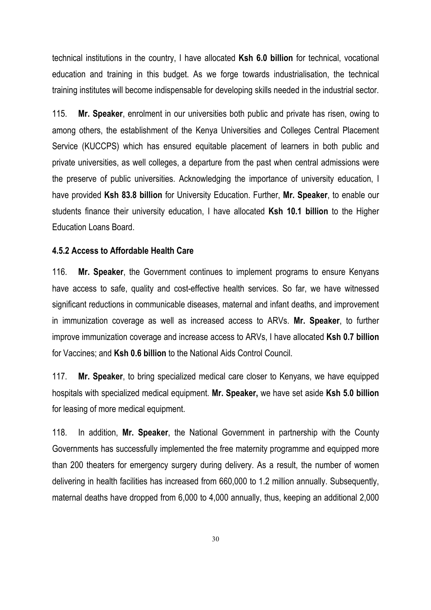technical institutions in the country, I have allocated **Ksh 6.0 billion** for technical, vocational education and training in this budget. As we forge towards industrialisation, the technical training institutes will become indispensable for developing skills needed in the industrial sector.

115. **Mr. Speaker**, enrolment in our universities both public and private has risen, owing to among others, the establishment of the Kenya Universities and Colleges Central Placement Service (KUCCPS) which has ensured equitable placement of learners in both public and private universities, as well colleges, a departure from the past when central admissions were the preserve of public universities. Acknowledging the importance of university education, I have provided **Ksh 83.8 billion** for University Education. Further, **Mr. Speaker**, to enable our students finance their university education, I have allocated **Ksh 10.1 billion** to the Higher Education Loans Board.

#### **4.5.2 Access to Affordable Health Care**

116. **Mr. Speaker**, the Government continues to implement programs to ensure Kenyans have access to safe, quality and cost-effective health services. So far, we have witnessed significant reductions in communicable diseases, maternal and infant deaths, and improvement in immunization coverage as well as increased access to ARVs. **Mr. Speaker**, to further improve immunization coverage and increase access to ARVs, I have allocated **Ksh 0.7 billion**  for Vaccines; and **Ksh 0.6 billion** to the National Aids Control Council.

117. **Mr. Speaker**, to bring specialized medical care closer to Kenyans, we have equipped hospitals with specialized medical equipment. **Mr. Speaker,** we have set aside **Ksh 5.0 billion** for leasing of more medical equipment.

118. In addition, **Mr. Speaker**, the National Government in partnership with the County Governments has successfully implemented the free maternity programme and equipped more than 200 theaters for emergency surgery during delivery. As a result, the number of women delivering in health facilities has increased from 660,000 to 1.2 million annually. Subsequently, maternal deaths have dropped from 6,000 to 4,000 annually, thus, keeping an additional 2,000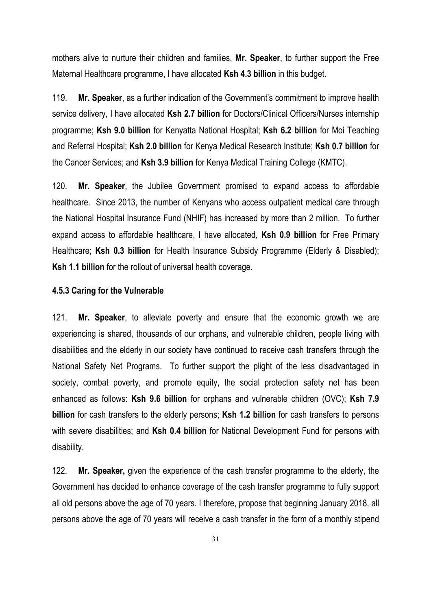mothers alive to nurture their children and families. **Mr. Speaker**, to further support the Free Maternal Healthcare programme, I have allocated **Ksh 4.3 billion** in this budget.

119. **Mr. Speaker**, as a further indication of the Government's commitment to improve health service delivery, I have allocated **Ksh 2.7 billion** for Doctors/Clinical Officers/Nurses internship programme; **Ksh 9.0 billion** for Kenyatta National Hospital; **Ksh 6.2 billion** for Moi Teaching and Referral Hospital; **Ksh 2.0 billion** for Kenya Medical Research Institute; **Ksh 0.7 billion** for the Cancer Services; and **Ksh 3.9 billion** for Kenya Medical Training College (KMTC).

120. **Mr. Speaker**, the Jubilee Government promised to expand access to affordable healthcare. Since 2013, the number of Kenyans who access outpatient medical care through the National Hospital Insurance Fund (NHIF) has increased by more than 2 million. To further expand access to affordable healthcare, I have allocated, **Ksh 0.9 billion** for Free Primary Healthcare; **Ksh 0.3 billion** for Health Insurance Subsidy Programme (Elderly & Disabled); **Ksh 1.1 billion** for the rollout of universal health coverage.

#### **4.5.3 Caring for the Vulnerable**

121. **Mr. Speaker**, to alleviate poverty and ensure that the economic growth we are experiencing is shared, thousands of our orphans, and vulnerable children, people living with disabilities and the elderly in our society have continued to receive cash transfers through the National Safety Net Programs. To further support the plight of the less disadvantaged in society, combat poverty, and promote equity, the social protection safety net has been enhanced as follows: **Ksh 9.6 billion** for orphans and vulnerable children (OVC); **Ksh 7.9 billion** for cash transfers to the elderly persons; **Ksh 1.2 billion** for cash transfers to persons with severe disabilities; and **Ksh 0.4 billion** for National Development Fund for persons with disability.

122. **Mr. Speaker,** given the experience of the cash transfer programme to the elderly, the Government has decided to enhance coverage of the cash transfer programme to fully support all old persons above the age of 70 years. I therefore, propose that beginning January 2018, all persons above the age of 70 years will receive a cash transfer in the form of a monthly stipend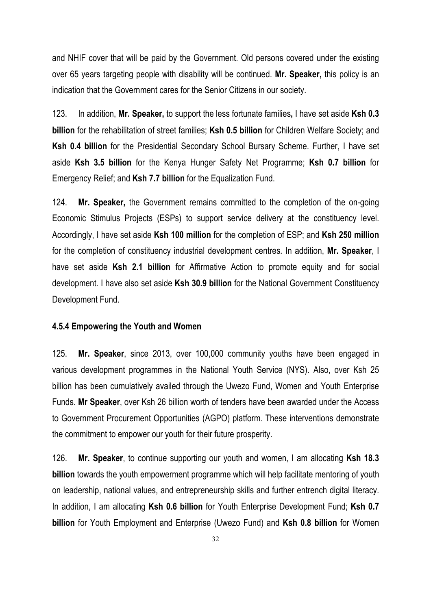and NHIF cover that will be paid by the Government. Old persons covered under the existing over 65 years targeting people with disability will be continued. **Mr. Speaker,** this policy is an indication that the Government cares for the Senior Citizens in our society.

123. In addition, **Mr. Speaker,** to support the less fortunate families**,** I have set aside **Ksh 0.3 billion** for the rehabilitation of street families; **Ksh 0.5 billion** for Children Welfare Society; and **Ksh 0.4 billion** for the Presidential Secondary School Bursary Scheme. Further, I have set aside **Ksh 3.5 billion** for the Kenya Hunger Safety Net Programme; **Ksh 0.7 billion** for Emergency Relief; and **Ksh 7.7 billion** for the Equalization Fund.

124. **Mr. Speaker,** the Government remains committed to the completion of the on-going Economic Stimulus Projects (ESPs) to support service delivery at the constituency level. Accordingly, I have set aside **Ksh 100 million** for the completion of ESP; and **Ksh 250 million** for the completion of constituency industrial development centres. In addition, **Mr. Speaker**, I have set aside **Ksh 2.1 billion** for Affirmative Action to promote equity and for social development. I have also set aside **Ksh 30.9 billion** for the National Government Constituency Development Fund.

#### **4.5.4 Empowering the Youth and Women**

125. **Mr. Speaker**, since 2013, over 100,000 community youths have been engaged in various development programmes in the National Youth Service (NYS). Also, over Ksh 25 billion has been cumulatively availed through the Uwezo Fund, Women and Youth Enterprise Funds. **Mr Speaker**, over Ksh 26 billion worth of tenders have been awarded under the Access to Government Procurement Opportunities (AGPO) platform. These interventions demonstrate the commitment to empower our youth for their future prosperity.

126. **Mr. Speaker**, to continue supporting our youth and women, I am allocating **Ksh 18.3 billion** towards the youth empowerment programme which will help facilitate mentoring of youth on leadership, national values, and entrepreneurship skills and further entrench digital literacy. In addition, I am allocating **Ksh 0.6 billion** for Youth Enterprise Development Fund; **Ksh 0.7 billion** for Youth Employment and Enterprise (Uwezo Fund) and **Ksh 0.8 billion** for Women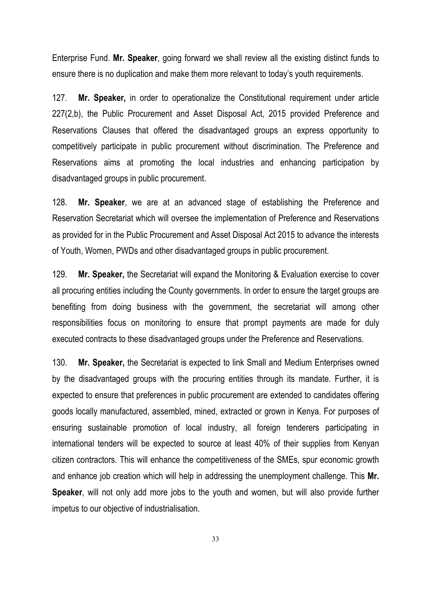Enterprise Fund. **Mr. Speaker**, going forward we shall review all the existing distinct funds to ensure there is no duplication and make them more relevant to today's youth requirements.

127. **Mr. Speaker,** in order to operationalize the Constitutional requirement under article 227(2,b), the Public Procurement and Asset Disposal Act, 2015 provided Preference and Reservations Clauses that offered the disadvantaged groups an express opportunity to competitively participate in public procurement without discrimination. The Preference and Reservations aims at promoting the local industries and enhancing participation by disadvantaged groups in public procurement.

128. **Mr. Speaker**, we are at an advanced stage of establishing the Preference and Reservation Secretariat which will oversee the implementation of Preference and Reservations as provided for in the Public Procurement and Asset Disposal Act 2015 to advance the interests of Youth, Women, PWDs and other disadvantaged groups in public procurement.

129. **Mr. Speaker,** the Secretariat will expand the Monitoring & Evaluation exercise to cover all procuring entities including the County governments. In order to ensure the target groups are benefiting from doing business with the government, the secretariat will among other responsibilities focus on monitoring to ensure that prompt payments are made for duly executed contracts to these disadvantaged groups under the Preference and Reservations.

130. **Mr. Speaker,** the Secretariat is expected to link Small and Medium Enterprises owned by the disadvantaged groups with the procuring entities through its mandate. Further, it is expected to ensure that preferences in public procurement are extended to candidates offering goods locally manufactured, assembled, mined, extracted or grown in Kenya. For purposes of ensuring sustainable promotion of local industry, all foreign tenderers participating in international tenders will be expected to source at least 40% of their supplies from Kenyan citizen contractors. This will enhance the competitiveness of the SMEs, spur economic growth and enhance job creation which will help in addressing the unemployment challenge. This **Mr. Speaker**, will not only add more jobs to the youth and women, but will also provide further impetus to our objective of industrialisation.

33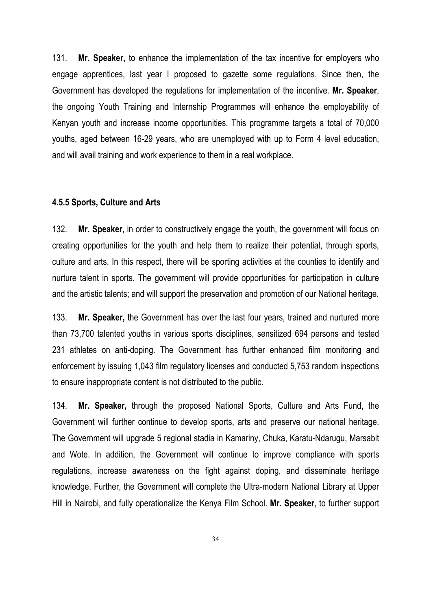131. **Mr. Speaker,** to enhance the implementation of the tax incentive for employers who engage apprentices, last year I proposed to gazette some regulations. Since then, the Government has developed the regulations for implementation of the incentive. **Mr. Speaker**, the ongoing Youth Training and Internship Programmes will enhance the employability of Kenyan youth and increase income opportunities. This programme targets a total of 70,000 youths, aged between 16-29 years, who are unemployed with up to Form 4 level education, and will avail training and work experience to them in a real workplace.

#### **4.5.5 Sports, Culture and Arts**

132. **Mr. Speaker,** in order to constructively engage the youth, the government will focus on creating opportunities for the youth and help them to realize their potential, through sports, culture and arts. In this respect, there will be sporting activities at the counties to identify and nurture talent in sports. The government will provide opportunities for participation in culture and the artistic talents; and will support the preservation and promotion of our National heritage.

133. **Mr. Speaker,** the Government has over the last four years, trained and nurtured more than 73,700 talented youths in various sports disciplines, sensitized 694 persons and tested 231 athletes on anti-doping. The Government has further enhanced film monitoring and enforcement by issuing 1,043 film regulatory licenses and conducted 5,753 random inspections to ensure inappropriate content is not distributed to the public.

134. **Mr. Speaker,** through the proposed National Sports, Culture and Arts Fund, the Government will further continue to develop sports, arts and preserve our national heritage. The Government will upgrade 5 regional stadia in Kamariny, Chuka, Karatu-Ndarugu, Marsabit and Wote. In addition, the Government will continue to improve compliance with sports regulations, increase awareness on the fight against doping, and disseminate heritage knowledge. Further, the Government will complete the Ultra-modern National Library at Upper Hill in Nairobi, and fully operationalize the Kenya Film School. **Mr. Speaker**, to further support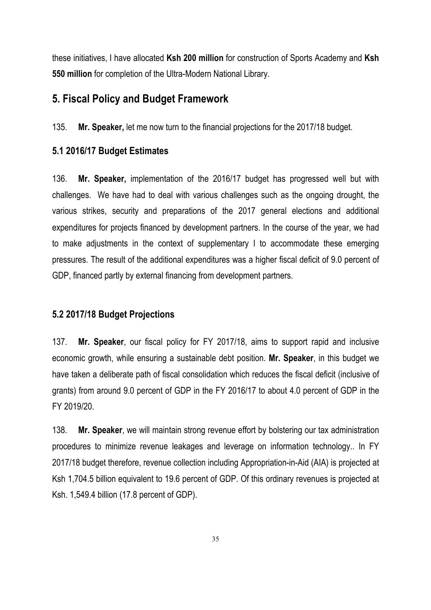these initiatives, I have allocated **Ksh 200 million** for construction of Sports Academy and **Ksh 550 million** for completion of the Ultra-Modern National Library.

#### **5. Fiscal Policy and Budget Framework**

135. **Mr. Speaker,** let me now turn to the financial projections for the 2017/18 budget.

#### **5.1 2016/17 Budget Estimates**

136. **Mr. Speaker,** implementation of the 2016/17 budget has progressed well but with challenges. We have had to deal with various challenges such as the ongoing drought, the various strikes, security and preparations of the 2017 general elections and additional expenditures for projects financed by development partners. In the course of the year, we had to make adjustments in the context of supplementary I to accommodate these emerging pressures. The result of the additional expenditures was a higher fiscal deficit of 9.0 percent of GDP, financed partly by external financing from development partners.

#### **5.2 2017/18 Budget Projections**

137. **Mr. Speaker**, our fiscal policy for FY 2017/18, aims to support rapid and inclusive economic growth, while ensuring a sustainable debt position. **Mr. Speaker**, in this budget we have taken a deliberate path of fiscal consolidation which reduces the fiscal deficit (inclusive of grants) from around 9.0 percent of GDP in the FY 2016/17 to about 4.0 percent of GDP in the FY 2019/20.

138. **Mr. Speaker**, we will maintain strong revenue effort by bolstering our tax administration procedures to minimize revenue leakages and leverage on information technology.. In FY 2017/18 budget therefore, revenue collection including Appropriation-in-Aid (AIA) is projected at Ksh 1,704.5 billion equivalent to 19.6 percent of GDP. Of this ordinary revenues is projected at Ksh. 1,549.4 billion (17.8 percent of GDP).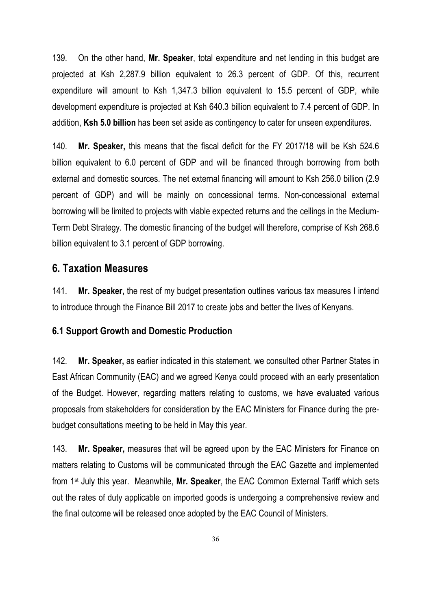139. On the other hand, **Mr. Speaker**, total expenditure and net lending in this budget are projected at Ksh 2,287.9 billion equivalent to 26.3 percent of GDP. Of this, recurrent expenditure will amount to Ksh 1,347.3 billion equivalent to 15.5 percent of GDP, while development expenditure is projected at Ksh 640.3 billion equivalent to 7.4 percent of GDP. In addition, **Ksh 5.0 billion** has been set aside as contingency to cater for unseen expenditures.

140. **Mr. Speaker,** this means that the fiscal deficit for the FY 2017/18 will be Ksh 524.6 billion equivalent to 6.0 percent of GDP and will be financed through borrowing from both external and domestic sources. The net external financing will amount to Ksh 256.0 billion (2.9 percent of GDP) and will be mainly on concessional terms. Non-concessional external borrowing will be limited to projects with viable expected returns and the ceilings in the Medium-Term Debt Strategy. The domestic financing of the budget will therefore, comprise of Ksh 268.6 billion equivalent to 3.1 percent of GDP borrowing.

## **6. Taxation Measures**

141. **Mr. Speaker,** the rest of my budget presentation outlines various tax measures I intend to introduce through the Finance Bill 2017 to create jobs and better the lives of Kenyans.

#### **6.1 Support Growth and Domestic Production**

142. **Mr. Speaker,** as earlier indicated in this statement, we consulted other Partner States in East African Community (EAC) and we agreed Kenya could proceed with an early presentation of the Budget. However, regarding matters relating to customs, we have evaluated various proposals from stakeholders for consideration by the EAC Ministers for Finance during the prebudget consultations meeting to be held in May this year.

143. **Mr. Speaker,** measures that will be agreed upon by the EAC Ministers for Finance on matters relating to Customs will be communicated through the EAC Gazette and implemented from 1st July this year. Meanwhile, **Mr. Speaker**, the EAC Common External Tariff which sets out the rates of duty applicable on imported goods is undergoing a comprehensive review and the final outcome will be released once adopted by the EAC Council of Ministers.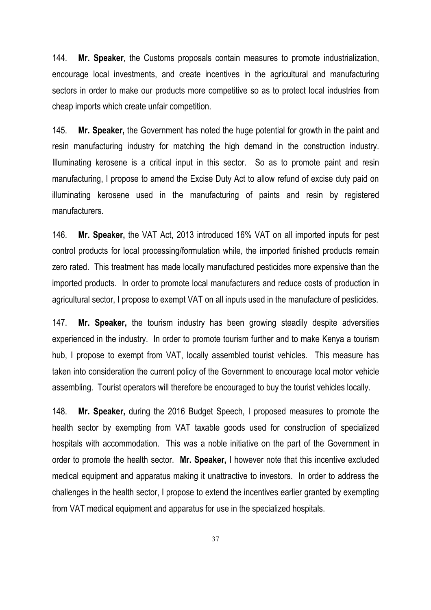144. **Mr. Speaker**, the Customs proposals contain measures to promote industrialization, encourage local investments, and create incentives in the agricultural and manufacturing sectors in order to make our products more competitive so as to protect local industries from cheap imports which create unfair competition.

145. **Mr. Speaker,** the Government has noted the huge potential for growth in the paint and resin manufacturing industry for matching the high demand in the construction industry. Illuminating kerosene is a critical input in this sector. So as to promote paint and resin manufacturing, I propose to amend the Excise Duty Act to allow refund of excise duty paid on illuminating kerosene used in the manufacturing of paints and resin by registered manufacturers.

146. **Mr. Speaker,** the VAT Act, 2013 introduced 16% VAT on all imported inputs for pest control products for local processing/formulation while, the imported finished products remain zero rated. This treatment has made locally manufactured pesticides more expensive than the imported products. In order to promote local manufacturers and reduce costs of production in agricultural sector, I propose to exempt VAT on all inputs used in the manufacture of pesticides.

147. **Mr. Speaker,** the tourism industry has been growing steadily despite adversities experienced in the industry. In order to promote tourism further and to make Kenya a tourism hub, I propose to exempt from VAT, locally assembled tourist vehicles. This measure has taken into consideration the current policy of the Government to encourage local motor vehicle assembling. Tourist operators will therefore be encouraged to buy the tourist vehicles locally.

148. **Mr. Speaker,** during the 2016 Budget Speech, I proposed measures to promote the health sector by exempting from VAT taxable goods used for construction of specialized hospitals with accommodation. This was a noble initiative on the part of the Government in order to promote the health sector. **Mr. Speaker,** I however note that this incentive excluded medical equipment and apparatus making it unattractive to investors. In order to address the challenges in the health sector, I propose to extend the incentives earlier granted by exempting from VAT medical equipment and apparatus for use in the specialized hospitals.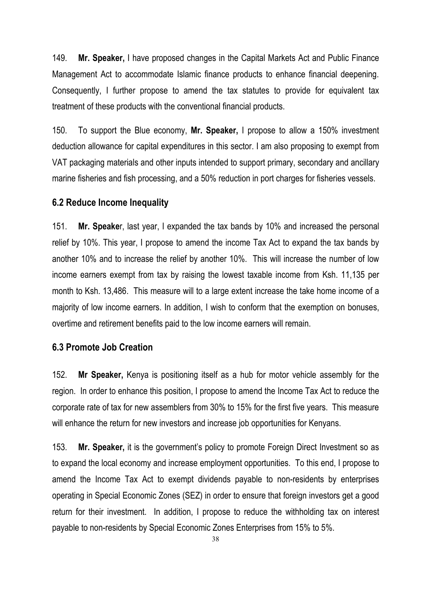149. **Mr. Speaker,** I have proposed changes in the Capital Markets Act and Public Finance Management Act to accommodate Islamic finance products to enhance financial deepening. Consequently, I further propose to amend the tax statutes to provide for equivalent tax treatment of these products with the conventional financial products.

150. To support the Blue economy, **Mr. Speaker,** I propose to allow a 150% investment deduction allowance for capital expenditures in this sector. I am also proposing to exempt from VAT packaging materials and other inputs intended to support primary, secondary and ancillary marine fisheries and fish processing, and a 50% reduction in port charges for fisheries vessels.

#### **6.2 Reduce Income Inequality**

151. **Mr. Speake**r, last year, I expanded the tax bands by 10% and increased the personal relief by 10%. This year, I propose to amend the income Tax Act to expand the tax bands by another 10% and to increase the relief by another 10%. This will increase the number of low income earners exempt from tax by raising the lowest taxable income from Ksh. 11,135 per month to Ksh. 13,486. This measure will to a large extent increase the take home income of a majority of low income earners. In addition, I wish to conform that the exemption on bonuses, overtime and retirement benefits paid to the low income earners will remain.

#### **6.3 Promote Job Creation**

152. **Mr Speaker,** Kenya is positioning itself as a hub for motor vehicle assembly for the region. In order to enhance this position, I propose to amend the Income Tax Act to reduce the corporate rate of tax for new assemblers from 30% to 15% for the first five years. This measure will enhance the return for new investors and increase job opportunities for Kenyans.

153. **Mr. Speaker,** it is the government's policy to promote Foreign Direct Investment so as to expand the local economy and increase employment opportunities. To this end, I propose to amend the Income Tax Act to exempt dividends payable to non-residents by enterprises operating in Special Economic Zones (SEZ) in order to ensure that foreign investors get a good return for their investment. In addition, I propose to reduce the withholding tax on interest payable to non-residents by Special Economic Zones Enterprises from 15% to 5%.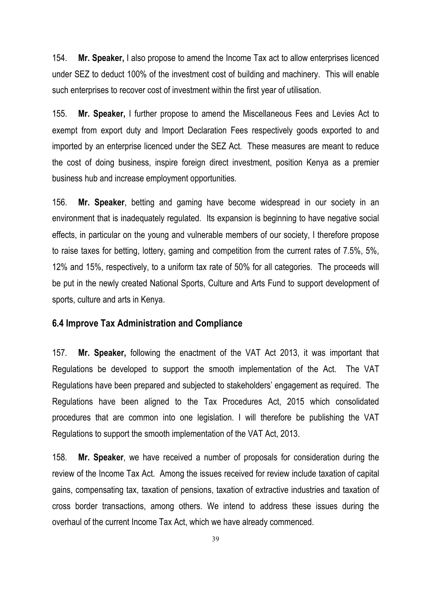154. **Mr. Speaker,** I also propose to amend the Income Tax act to allow enterprises licenced under SEZ to deduct 100% of the investment cost of building and machinery. This will enable such enterprises to recover cost of investment within the first year of utilisation.

155. **Mr. Speaker,** I further propose to amend the Miscellaneous Fees and Levies Act to exempt from export duty and Import Declaration Fees respectively goods exported to and imported by an enterprise licenced under the SEZ Act. These measures are meant to reduce the cost of doing business, inspire foreign direct investment, position Kenya as a premier business hub and increase employment opportunities.

156. **Mr. Speaker**, betting and gaming have become widespread in our society in an environment that is inadequately regulated. Its expansion is beginning to have negative social effects, in particular on the young and vulnerable members of our society, I therefore propose to raise taxes for betting, lottery, gaming and competition from the current rates of 7.5%, 5%, 12% and 15%, respectively, to a uniform tax rate of 50% for all categories. The proceeds will be put in the newly created National Sports, Culture and Arts Fund to support development of sports, culture and arts in Kenya.

#### **6.4 Improve Tax Administration and Compliance**

157. **Mr. Speaker,** following the enactment of the VAT Act 2013, it was important that Regulations be developed to support the smooth implementation of the Act. The VAT Regulations have been prepared and subjected to stakeholders' engagement as required. The Regulations have been aligned to the Tax Procedures Act, 2015 which consolidated procedures that are common into one legislation. I will therefore be publishing the VAT Regulations to support the smooth implementation of the VAT Act, 2013.

158. **Mr. Speaker**, we have received a number of proposals for consideration during the review of the Income Tax Act. Among the issues received for review include taxation of capital gains, compensating tax, taxation of pensions, taxation of extractive industries and taxation of cross border transactions, among others. We intend to address these issues during the overhaul of the current Income Tax Act, which we have already commenced.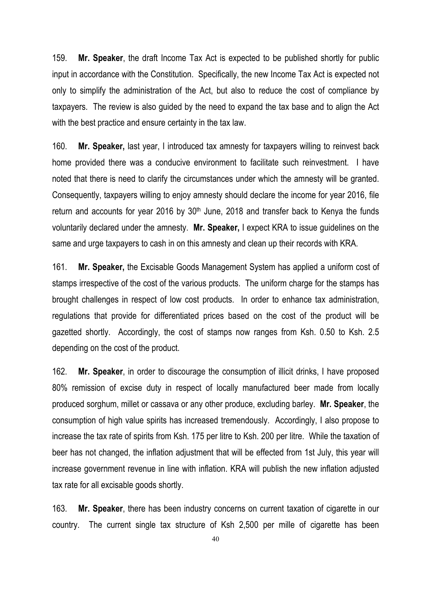159. **Mr. Speaker**, the draft Income Tax Act is expected to be published shortly for public input in accordance with the Constitution. Specifically, the new Income Tax Act is expected not only to simplify the administration of the Act, but also to reduce the cost of compliance by taxpayers. The review is also guided by the need to expand the tax base and to align the Act with the best practice and ensure certainty in the tax law.

160. **Mr. Speaker,** last year, I introduced tax amnesty for taxpayers willing to reinvest back home provided there was a conducive environment to facilitate such reinvestment. I have noted that there is need to clarify the circumstances under which the amnesty will be granted. Consequently, taxpayers willing to enjoy amnesty should declare the income for year 2016, file return and accounts for year 2016 by 30<sup>th</sup> June, 2018 and transfer back to Kenya the funds voluntarily declared under the amnesty. **Mr. Speaker,** I expect KRA to issue guidelines on the same and urge taxpayers to cash in on this amnesty and clean up their records with KRA.

161. **Mr. Speaker,** the Excisable Goods Management System has applied a uniform cost of stamps irrespective of the cost of the various products. The uniform charge for the stamps has brought challenges in respect of low cost products. In order to enhance tax administration, regulations that provide for differentiated prices based on the cost of the product will be gazetted shortly. Accordingly, the cost of stamps now ranges from Ksh. 0.50 to Ksh. 2.5 depending on the cost of the product.

162. **Mr. Speaker**, in order to discourage the consumption of illicit drinks, I have proposed 80% remission of excise duty in respect of locally manufactured beer made from locally produced sorghum, millet or cassava or any other produce, excluding barley. **Mr. Speaker**, the consumption of high value spirits has increased tremendously. Accordingly, I also propose to increase the tax rate of spirits from Ksh. 175 per litre to Ksh. 200 per litre. While the taxation of beer has not changed, the inflation adjustment that will be effected from 1st July, this year will increase government revenue in line with inflation. KRA will publish the new inflation adjusted tax rate for all excisable goods shortly.

163. **Mr. Speaker**, there has been industry concerns on current taxation of cigarette in our country. The current single tax structure of Ksh 2,500 per mille of cigarette has been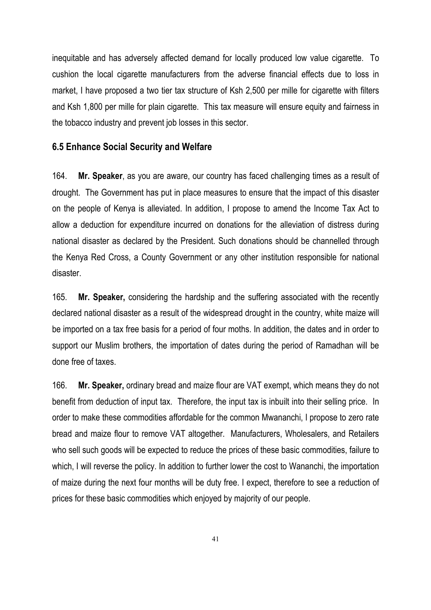inequitable and has adversely affected demand for locally produced low value cigarette. To cushion the local cigarette manufacturers from the adverse financial effects due to loss in market, I have proposed a two tier tax structure of Ksh 2,500 per mille for cigarette with filters and Ksh 1,800 per mille for plain cigarette. This tax measure will ensure equity and fairness in the tobacco industry and prevent job losses in this sector.

#### **6.5 Enhance Social Security and Welfare**

164. **Mr. Speaker**, as you are aware, our country has faced challenging times as a result of drought. The Government has put in place measures to ensure that the impact of this disaster on the people of Kenya is alleviated. In addition, I propose to amend the Income Tax Act to allow a deduction for expenditure incurred on donations for the alleviation of distress during national disaster as declared by the President. Such donations should be channelled through the Kenya Red Cross, a County Government or any other institution responsible for national disaster.

165. **Mr. Speaker,** considering the hardship and the suffering associated with the recently declared national disaster as a result of the widespread drought in the country, white maize will be imported on a tax free basis for a period of four moths. In addition, the dates and in order to support our Muslim brothers, the importation of dates during the period of Ramadhan will be done free of taxes.

166. **Mr. Speaker,** ordinary bread and maize flour are VAT exempt, which means they do not benefit from deduction of input tax. Therefore, the input tax is inbuilt into their selling price. In order to make these commodities affordable for the common Mwananchi, I propose to zero rate bread and maize flour to remove VAT altogether. Manufacturers, Wholesalers, and Retailers who sell such goods will be expected to reduce the prices of these basic commodities, failure to which, I will reverse the policy. In addition to further lower the cost to Wananchi, the importation of maize during the next four months will be duty free. I expect, therefore to see a reduction of prices for these basic commodities which enjoyed by majority of our people.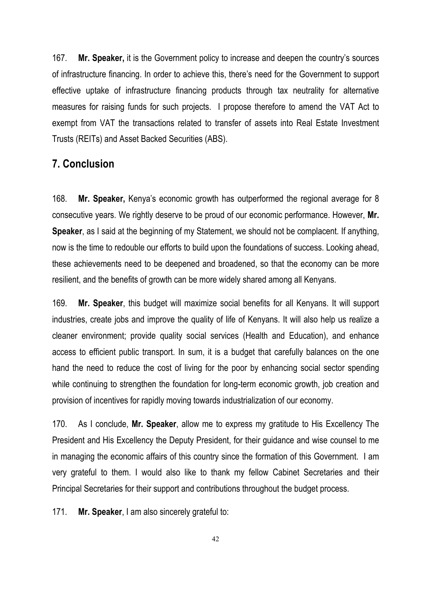167. **Mr. Speaker,** it is the Government policy to increase and deepen the country's sources of infrastructure financing. In order to achieve this, there's need for the Government to support effective uptake of infrastructure financing products through tax neutrality for alternative measures for raising funds for such projects. I propose therefore to amend the VAT Act to exempt from VAT the transactions related to transfer of assets into Real Estate Investment Trusts (REITs) and Asset Backed Securities (ABS).

## **7. Conclusion**

168. **Mr. Speaker,** Kenya's economic growth has outperformed the regional average for 8 consecutive years. We rightly deserve to be proud of our economic performance. However, **Mr. Speaker**, as I said at the beginning of my Statement, we should not be complacent. If anything, now is the time to redouble our efforts to build upon the foundations of success. Looking ahead, these achievements need to be deepened and broadened, so that the economy can be more resilient, and the benefits of growth can be more widely shared among all Kenyans.

169. **Mr. Speaker**, this budget will maximize social benefits for all Kenyans. It will support industries, create jobs and improve the quality of life of Kenyans. It will also help us realize a cleaner environment; provide quality social services (Health and Education), and enhance access to efficient public transport. In sum, it is a budget that carefully balances on the one hand the need to reduce the cost of living for the poor by enhancing social sector spending while continuing to strengthen the foundation for long-term economic growth, job creation and provision of incentives for rapidly moving towards industrialization of our economy.

170. As I conclude, **Mr. Speaker**, allow me to express my gratitude to His Excellency The President and His Excellency the Deputy President, for their guidance and wise counsel to me in managing the economic affairs of this country since the formation of this Government. I am very grateful to them. I would also like to thank my fellow Cabinet Secretaries and their Principal Secretaries for their support and contributions throughout the budget process.

171. **Mr. Speaker**, I am also sincerely grateful to: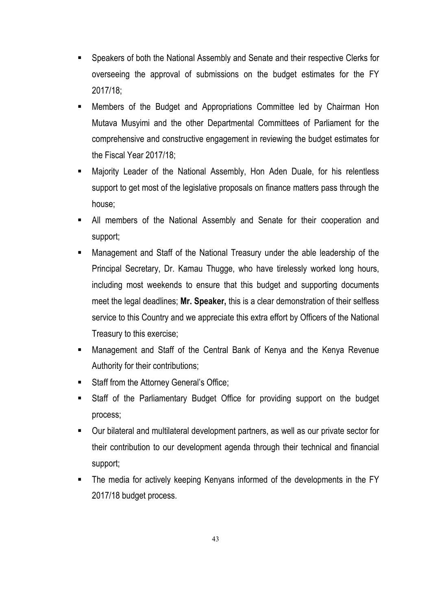- Speakers of both the National Assembly and Senate and their respective Clerks for overseeing the approval of submissions on the budget estimates for the FY 2017/18;
- Members of the Budget and Appropriations Committee led by Chairman Hon Mutava Musyimi and the other Departmental Committees of Parliament for the comprehensive and constructive engagement in reviewing the budget estimates for the Fiscal Year 2017/18;
- Majority Leader of the National Assembly, Hon Aden Duale, for his relentless support to get most of the legislative proposals on finance matters pass through the house;
- All members of the National Assembly and Senate for their cooperation and support;
- § Management and Staff of the National Treasury under the able leadership of the Principal Secretary, Dr. Kamau Thugge, who have tirelessly worked long hours, including most weekends to ensure that this budget and supporting documents meet the legal deadlines; **Mr. Speaker,** this is a clear demonstration of their selfless service to this Country and we appreciate this extra effort by Officers of the National Treasury to this exercise;
- § Management and Staff of the Central Bank of Kenya and the Kenya Revenue Authority for their contributions;
- Staff from the Attorney General's Office;
- § Staff of the Parliamentary Budget Office for providing support on the budget process;
- Our bilateral and multilateral development partners, as well as our private sector for their contribution to our development agenda through their technical and financial support;
- The media for actively keeping Kenyans informed of the developments in the FY 2017/18 budget process.